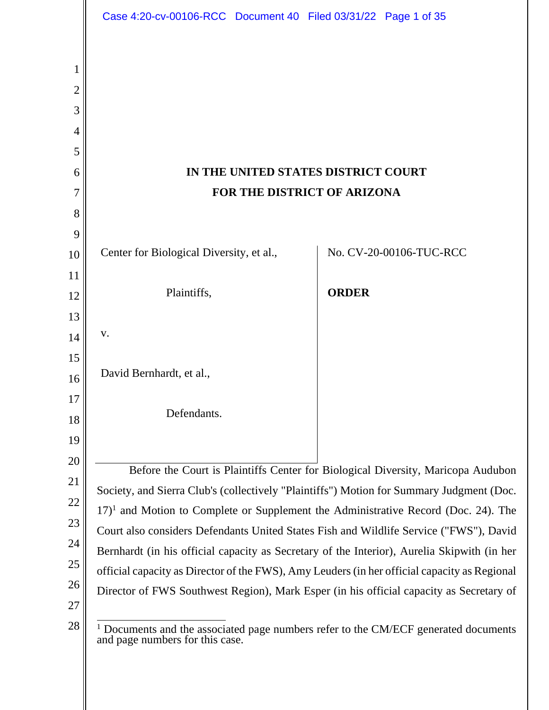|                            | Case 4:20-cv-00106-RCC Document 40 Filed 03/31/22 Page 1 of 35                                                           |                                                                                              |                         |  |
|----------------------------|--------------------------------------------------------------------------------------------------------------------------|----------------------------------------------------------------------------------------------|-------------------------|--|
| 1<br>2<br>3<br>4<br>5<br>6 | IN THE UNITED STATES DISTRICT COURT                                                                                      |                                                                                              |                         |  |
| 7                          | FOR THE DISTRICT OF ARIZONA                                                                                              |                                                                                              |                         |  |
| 8                          |                                                                                                                          |                                                                                              |                         |  |
| 9                          |                                                                                                                          |                                                                                              |                         |  |
| 10                         | Center for Biological Diversity, et al.,                                                                                 |                                                                                              | No. CV-20-00106-TUC-RCC |  |
| 11                         |                                                                                                                          |                                                                                              |                         |  |
| 12                         | Plaintiffs,                                                                                                              | <b>ORDER</b>                                                                                 |                         |  |
| 13                         |                                                                                                                          |                                                                                              |                         |  |
| 14                         | V.                                                                                                                       |                                                                                              |                         |  |
| 15                         |                                                                                                                          |                                                                                              |                         |  |
| 16                         | David Bernhardt, et al.,                                                                                                 |                                                                                              |                         |  |
| 17                         | Defendants.                                                                                                              |                                                                                              |                         |  |
| 18                         |                                                                                                                          |                                                                                              |                         |  |
| 19                         |                                                                                                                          |                                                                                              |                         |  |
| 20                         | Before the Court is Plaintiffs Center for Biological Diversity, Maricopa Audubon                                         |                                                                                              |                         |  |
| 21                         | Society, and Sierra Club's (collectively "Plaintiffs") Motion for Summary Judgment (Doc.                                 |                                                                                              |                         |  |
| 22                         | $17$ <sup>1</sup> and Motion to Complete or Supplement the Administrative Record (Doc. 24). The                          |                                                                                              |                         |  |
| 23                         | Court also considers Defendants United States Fish and Wildlife Service ("FWS"), David                                   |                                                                                              |                         |  |
| 24                         | Bernhardt (in his official capacity as Secretary of the Interior), Aurelia Skipwith (in her                              |                                                                                              |                         |  |
| 25                         |                                                                                                                          | official capacity as Director of the FWS), Amy Leuders (in her official capacity as Regional |                         |  |
| 26<br>27                   | Director of FWS Southwest Region), Mark Esper (in his official capacity as Secretary of                                  |                                                                                              |                         |  |
| 28                         | $1$ Documents and the associated page numbers refer to the CM/ECF generated documents<br>and page numbers for this case. |                                                                                              |                         |  |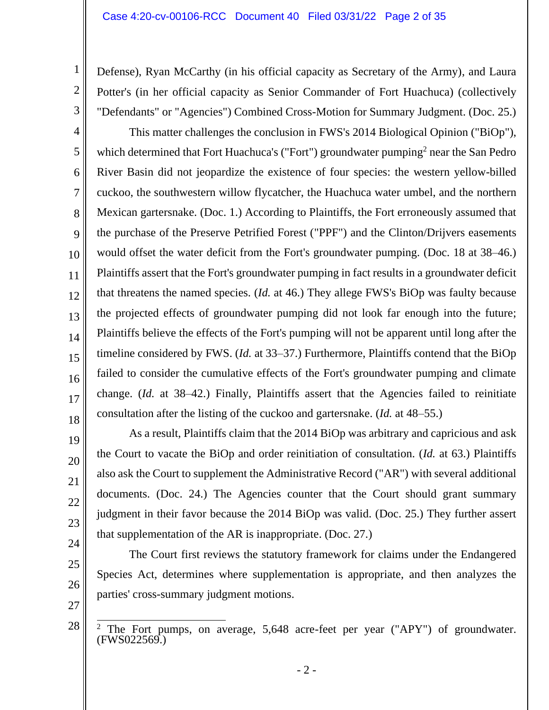Defense), Ryan McCarthy (in his official capacity as Secretary of the Army), and Laura Potter's (in her official capacity as Senior Commander of Fort Huachuca) (collectively "Defendants" or "Agencies") Combined Cross-Motion for Summary Judgment. (Doc. 25.)

4 5 6 7 8 9 10 11 12 13 15 16 17 18 This matter challenges the conclusion in FWS's 2014 Biological Opinion ("BiOp"), which determined that Fort Huachuca's ("Fort") groundwater pumping<sup>2</sup> near the San Pedro River Basin did not jeopardize the existence of four species: the western yellow-billed cuckoo, the southwestern willow flycatcher, the Huachuca water umbel, and the northern Mexican gartersnake. (Doc. 1.) According to Plaintiffs, the Fort erroneously assumed that the purchase of the Preserve Petrified Forest ("PPF") and the Clinton/Drijvers easements would offset the water deficit from the Fort's groundwater pumping. (Doc. 18 at 38–46.) Plaintiffs assert that the Fort's groundwater pumping in fact results in a groundwater deficit that threatens the named species. (*Id.* at 46.) They allege FWS's BiOp was faulty because the projected effects of groundwater pumping did not look far enough into the future; Plaintiffs believe the effects of the Fort's pumping will not be apparent until long after the timeline considered by FWS. (*Id.* at 33–37.) Furthermore, Plaintiffs contend that the BiOp failed to consider the cumulative effects of the Fort's groundwater pumping and climate change. (*Id.* at 38–42.) Finally, Plaintiffs assert that the Agencies failed to reinitiate consultation after the listing of the cuckoo and gartersnake. (*Id.* at 48–55.)

As a result, Plaintiffs claim that the 2014 BiOp was arbitrary and capricious and ask the Court to vacate the BiOp and order reinitiation of consultation. (*Id.* at 63.) Plaintiffs also ask the Court to supplement the Administrative Record ("AR") with several additional documents. (Doc. 24.) The Agencies counter that the Court should grant summary judgment in their favor because the 2014 BiOp was valid. (Doc. 25.) They further assert that supplementation of the AR is inappropriate. (Doc. 27.)

The Court first reviews the statutory framework for claims under the Endangered Species Act, determines where supplementation is appropriate, and then analyzes the parties' cross-summary judgment motions.

27 28

1

2

3

14

19

20

21

22

23

24

25

<sup>&</sup>lt;sup>2</sup> The Fort pumps, on average,  $5,648$  acre-feet per year ("APY") of groundwater. (FWS022569.)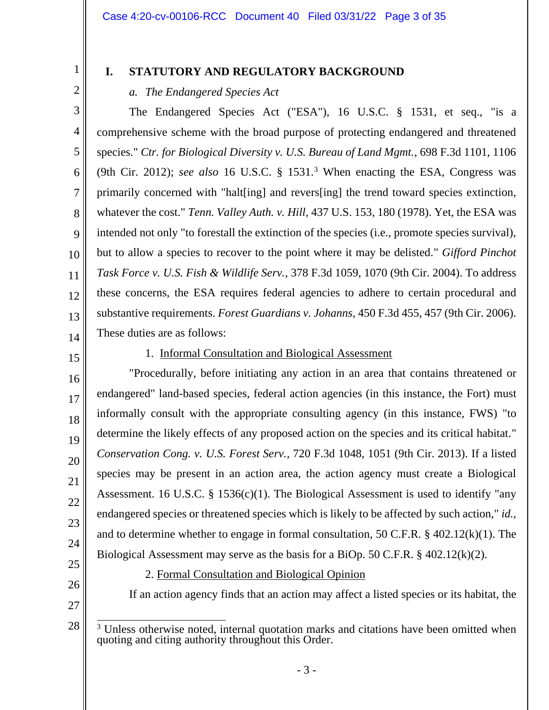1 2

3

4

5

6

7

8

9

10

11

12

13

# **I. STATUTORY AND REGULATORY BACKGROUND**

## *a. The Endangered Species Act*

The Endangered Species Act ("ESA"), 16 U.S.C. § 1531, et seq., "is a comprehensive scheme with the broad purpose of protecting endangered and threatened species." *Ctr. for Biological Diversity v. U.S. Bureau of Land Mgmt.*, 698 F.3d 1101, 1106 (9th Cir. 2012); *see also* 16 U.S.C. § 1531.<sup>3</sup> When enacting the ESA, Congress was primarily concerned with "halt[ing] and revers[ing] the trend toward species extinction, whatever the cost." *Tenn. Valley Auth. v. Hill*, 437 U.S. 153, 180 (1978). Yet, the ESA was intended not only "to forestall the extinction of the species (i.e., promote species survival), but to allow a species to recover to the point where it may be delisted." *Gifford Pinchot Task Force v. U.S. Fish & Wildlife Serv.*, 378 F.3d 1059, 1070 (9th Cir. 2004). To address these concerns, the ESA requires federal agencies to adhere to certain procedural and substantive requirements. *Forest Guardians v. Johanns*, 450 F.3d 455, 457 (9th Cir. 2006). These duties are as follows:

14 15

16

17

18

19

20

21

22

23

24

# 1. Informal Consultation and Biological Assessment

"Procedurally, before initiating any action in an area that contains threatened or endangered" land-based species, federal action agencies (in this instance, the Fort) must informally consult with the appropriate consulting agency (in this instance, FWS) "to determine the likely effects of any proposed action on the species and its critical habitat." *Conservation Cong. v. U.S. Forest Serv.*, 720 F.3d 1048, 1051 (9th Cir. 2013). If a listed species may be present in an action area, the action agency must create a Biological Assessment. 16 U.S.C. § 1536(c)(1). The Biological Assessment is used to identify "any endangered species or threatened species which is likely to be affected by such action," *id.*, and to determine whether to engage in formal consultation, 50 C.F.R. § 402.12(k)(1). The Biological Assessment may serve as the basis for a BiOp. 50 C.F.R. § 402.12(k)(2).

25 26

27

28

2. Formal Consultation and Biological Opinion

If an action agency finds that an action may affect a listed species or its habitat, the

<sup>&</sup>lt;sup>3</sup> Unless otherwise noted, internal quotation marks and citations have been omitted when quoting and citing authority throughout this Order.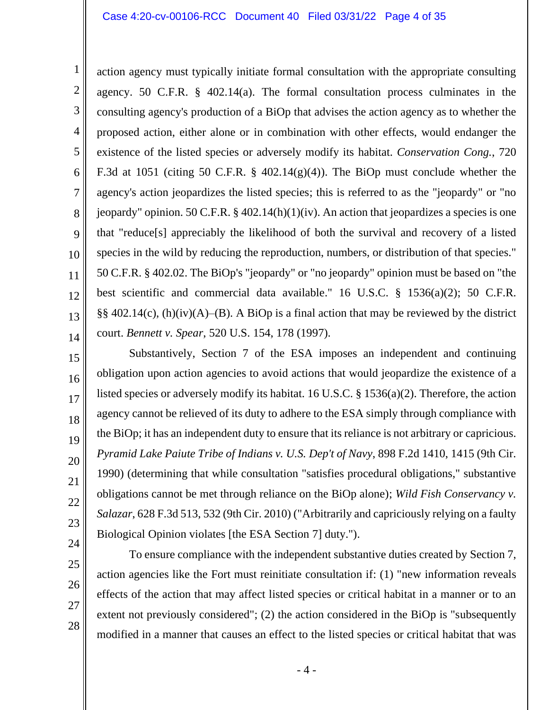6 action agency must typically initiate formal consultation with the appropriate consulting agency. 50 C.F.R. § 402.14(a). The formal consultation process culminates in the consulting agency's production of a BiOp that advises the action agency as to whether the proposed action, either alone or in combination with other effects, would endanger the existence of the listed species or adversely modify its habitat. *Conservation Cong.*, 720 F.3d at 1051 (citing 50 C.F.R.  $\S$  402.14(g)(4)). The BiOp must conclude whether the agency's action jeopardizes the listed species; this is referred to as the "jeopardy" or "no jeopardy" opinion. 50 C.F.R. § 402.14(h)(1)(iv). An action that jeopardizes a species is one that "reduce[s] appreciably the likelihood of both the survival and recovery of a listed species in the wild by reducing the reproduction, numbers, or distribution of that species." 50 C.F.R. § 402.02. The BiOp's "jeopardy" or "no jeopardy" opinion must be based on "the best scientific and commercial data available." 16 U.S.C. § 1536(a)(2); 50 C.F.R.  $\S\S 402.14(c)$ , (h)(iv)(A)–(B). A BiOp is a final action that may be reviewed by the district court. *Bennett v. Spear*, 520 U.S. 154, 178 (1997).

16 17 18 22 23 24 Substantively, Section 7 of the ESA imposes an independent and continuing obligation upon action agencies to avoid actions that would jeopardize the existence of a listed species or adversely modify its habitat. 16 U.S.C. § 1536(a)(2). Therefore, the action agency cannot be relieved of its duty to adhere to the ESA simply through compliance with the BiOp; it has an independent duty to ensure that its reliance is not arbitrary or capricious. *Pyramid Lake Paiute Tribe of Indians v. U.S. Dep't of Navy*, 898 F.2d 1410, 1415 (9th Cir. 1990) (determining that while consultation "satisfies procedural obligations," substantive obligations cannot be met through reliance on the BiOp alone); *Wild Fish Conservancy v. Salazar*, 628 F.3d 513, 532 (9th Cir. 2010) ("Arbitrarily and capriciously relying on a faulty Biological Opinion violates [the ESA Section 7] duty.").

1

2

3

4

5

7

8

9

10

11

12

13

14

15

19

20

21

To ensure compliance with the independent substantive duties created by Section 7, action agencies like the Fort must reinitiate consultation if: (1) "new information reveals effects of the action that may affect listed species or critical habitat in a manner or to an extent not previously considered"; (2) the action considered in the BiOp is "subsequently modified in a manner that causes an effect to the listed species or critical habitat that was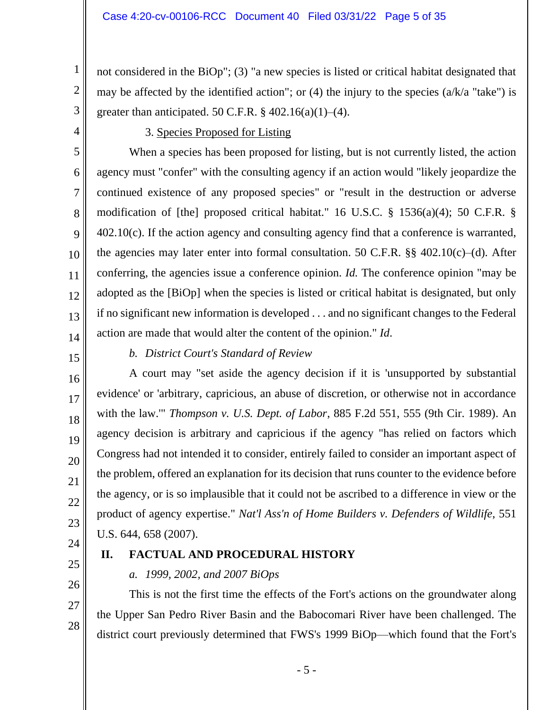not considered in the BiOp"; (3) "a new species is listed or critical habitat designated that may be affected by the identified action"; or (4) the injury to the species  $(a/k/a$  "take") is greater than anticipated. 50 C.F.R.  $\S$  402.16(a)(1)–(4).

4

5

6

7

8

9

10

11

12

13

1

2

3

### 3. Species Proposed for Listing

When a species has been proposed for listing, but is not currently listed, the action agency must "confer" with the consulting agency if an action would "likely jeopardize the continued existence of any proposed species" or "result in the destruction or adverse modification of [the] proposed critical habitat." 16 U.S.C. § 1536(a)(4); 50 C.F.R. § 402.10(c). If the action agency and consulting agency find that a conference is warranted, the agencies may later enter into formal consultation. 50 C.F.R.  $\S$ § 402.10(c)–(d). After conferring, the agencies issue a conference opinion. *Id.* The conference opinion "may be adopted as the [BiOp] when the species is listed or critical habitat is designated, but only if no significant new information is developed . . . and no significant changes to the Federal action are made that would alter the content of the opinion." *Id*.

14 15

16

# *b. District Court's Standard of Review*

A court may "set aside the agency decision if it is 'unsupported by substantial evidence' or 'arbitrary, capricious, an abuse of discretion, or otherwise not in accordance with the law.'" *Thompson v. U.S. Dept. of Labor*, 885 F.2d 551, 555 (9th Cir. 1989). An agency decision is arbitrary and capricious if the agency "has relied on factors which Congress had not intended it to consider, entirely failed to consider an important aspect of the problem, offered an explanation for its decision that runs counter to the evidence before the agency, or is so implausible that it could not be ascribed to a difference in view or the product of agency expertise." *Nat'l Ass'n of Home Builders v. Defenders of Wildlife*, 551 U.S. 644, 658 (2007).

# **II. FACTUAL AND PROCEDURAL HISTORY**

### *a. 1999, 2002, and 2007 BiOps*

This is not the first time the effects of the Fort's actions on the groundwater along the Upper San Pedro River Basin and the Babocomari River have been challenged. The district court previously determined that FWS's 1999 BiOp—which found that the Fort's

24 25

26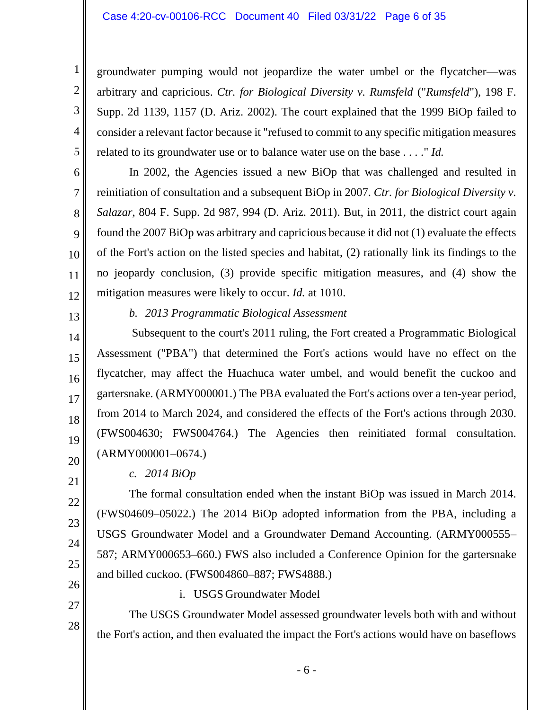#### Case 4:20-cv-00106-RCC Document 40 Filed 03/31/22 Page 6 of 35

groundwater pumping would not jeopardize the water umbel or the flycatcher—was arbitrary and capricious. *Ctr. for Biological Diversity v. Rumsfeld* ("*Rumsfeld*"), 198 F. Supp. 2d 1139, 1157 (D. Ariz. 2002). The court explained that the 1999 BiOp failed to consider a relevant factor because it "refused to commit to any specific mitigation measures related to its groundwater use or to balance water use on the base . . . ." *Id.*

In 2002, the Agencies issued a new BiOp that was challenged and resulted in reinitiation of consultation and a subsequent BiOp in 2007. *Ctr. for Biological Diversity v. Salazar*, 804 F. Supp. 2d 987, 994 (D. Ariz. 2011). But, in 2011, the district court again found the 2007 BiOp was arbitrary and capricious because it did not (1) evaluate the effects of the Fort's action on the listed species and habitat, (2) rationally link its findings to the no jeopardy conclusion, (3) provide specific mitigation measures, and (4) show the mitigation measures were likely to occur. *Id.* at 1010.

13

14

15

16

17

18

19

21

22

23

24

25

12

1

2

3

4

5

6

7

8

9

10

11

### *b. 2013 Programmatic Biological Assessment*

Subsequent to the court's 2011 ruling, the Fort created a Programmatic Biological Assessment ("PBA") that determined the Fort's actions would have no effect on the flycatcher, may affect the Huachuca water umbel, and would benefit the cuckoo and gartersnake. (ARMY000001.) The PBA evaluated the Fort's actions over a ten-year period, from 2014 to March 2024, and considered the effects of the Fort's actions through 2030. (FWS004630; FWS004764.) The Agencies then reinitiated formal consultation. (ARMY000001–0674.)

20

### *c. 2014 BiOp*

The formal consultation ended when the instant BiOp was issued in March 2014. (FWS04609–05022.) The 2014 BiOp adopted information from the PBA, including a USGS Groundwater Model and a Groundwater Demand Accounting. (ARMY000555– 587; ARMY000653–660.) FWS also included a Conference Opinion for the gartersnake and billed cuckoo. (FWS004860–887; FWS4888.)

26 27

28

### i. USGS Groundwater Model

The USGS Groundwater Model assessed groundwater levels both with and without the Fort's action, and then evaluated the impact the Fort's actions would have on baseflows

- 6 -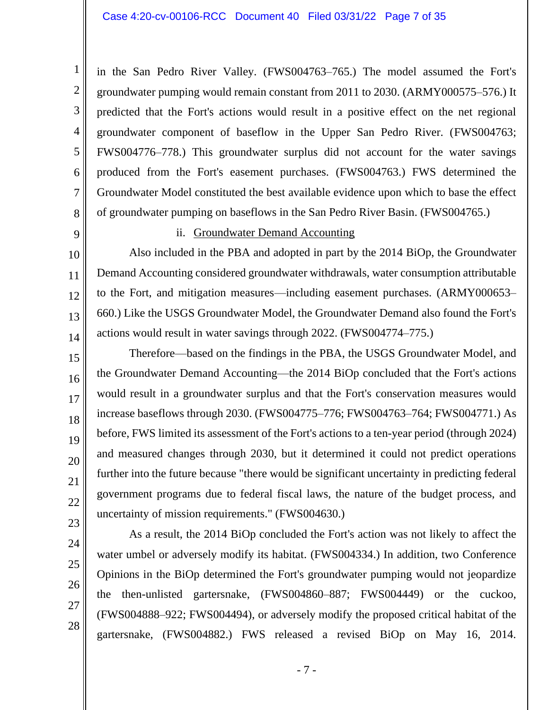in the San Pedro River Valley. (FWS004763–765.) The model assumed the Fort's groundwater pumping would remain constant from 2011 to 2030. (ARMY000575–576.) It predicted that the Fort's actions would result in a positive effect on the net regional groundwater component of baseflow in the Upper San Pedro River. (FWS004763; FWS004776–778.) This groundwater surplus did not account for the water savings produced from the Fort's easement purchases. (FWS004763.) FWS determined the Groundwater Model constituted the best available evidence upon which to base the effect of groundwater pumping on baseflows in the San Pedro River Basin. (FWS004765.)

9

10

11

12

13

14

15

16

17

18

19

20

21

22

23

1

2

3

4

5

6

7

8

#### ii. Groundwater Demand Accounting

Also included in the PBA and adopted in part by the 2014 BiOp, the Groundwater Demand Accounting considered groundwater withdrawals, water consumption attributable to the Fort, and mitigation measures—including easement purchases. (ARMY000653– 660.) Like the USGS Groundwater Model, the Groundwater Demand also found the Fort's actions would result in water savings through 2022. (FWS004774–775.)

Therefore—based on the findings in the PBA, the USGS Groundwater Model, and the Groundwater Demand Accounting—the 2014 BiOp concluded that the Fort's actions would result in a groundwater surplus and that the Fort's conservation measures would increase baseflows through 2030. (FWS004775–776; FWS004763–764; FWS004771.) As before, FWS limited its assessment of the Fort's actions to a ten-year period (through 2024) and measured changes through 2030, but it determined it could not predict operations further into the future because "there would be significant uncertainty in predicting federal government programs due to federal fiscal laws, the nature of the budget process, and uncertainty of mission requirements." (FWS004630.)

28

As a result, the 2014 BiOp concluded the Fort's action was not likely to affect the water umbel or adversely modify its habitat. (FWS004334.) In addition, two Conference Opinions in the BiOp determined the Fort's groundwater pumping would not jeopardize the then-unlisted gartersnake, (FWS004860–887; FWS004449) or the cuckoo, (FWS004888–922; FWS004494), or adversely modify the proposed critical habitat of the gartersnake, (FWS004882.) FWS released a revised BiOp on May 16, 2014.

- 7 -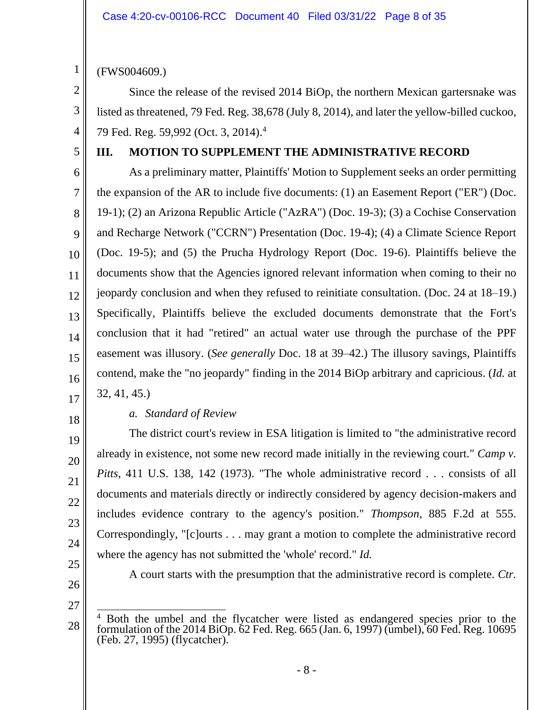(FWS004609.)

Since the release of the revised 2014 BiOp, the northern Mexican gartersnake was listed as threatened, 79 Fed. Reg. 38,678 (July 8, 2014), and later the yellow-billed cuckoo, 79 Fed. Reg. 59,992 (Oct. 3, 2014). 4

4 5

1

2

3

## **III. MOTION TO SUPPLEMENT THE ADMINISTRATIVE RECORD**

6 7 8 9 10 11 12 13 14 15 16 As a preliminary matter, Plaintiffs' Motion to Supplement seeks an order permitting the expansion of the AR to include five documents: (1) an Easement Report ("ER") (Doc. 19-1); (2) an Arizona Republic Article ("AzRA") (Doc. 19-3); (3) a Cochise Conservation and Recharge Network ("CCRN") Presentation (Doc. 19-4); (4) a Climate Science Report (Doc. 19-5); and (5) the Prucha Hydrology Report (Doc. 19-6). Plaintiffs believe the documents show that the Agencies ignored relevant information when coming to their no jeopardy conclusion and when they refused to reinitiate consultation. (Doc. 24 at 18–19.) Specifically, Plaintiffs believe the excluded documents demonstrate that the Fort's conclusion that it had "retired" an actual water use through the purchase of the PPF easement was illusory. (*See generally* Doc. 18 at 39–42.) The illusory savings, Plaintiffs contend, make the "no jeopardy" finding in the 2014 BiOp arbitrary and capricious. (*Id.* at 32, 41, 45.)

17

# 18

19

20

21

22

23

24

# *a. Standard of Review*

The district court's review in ESA litigation is limited to "the administrative record already in existence, not some new record made initially in the reviewing court." *Camp v. Pitts*, 411 U.S. 138, 142 (1973). "The whole administrative record . . . consists of all documents and materials directly or indirectly considered by agency decision-makers and includes evidence contrary to the agency's position." *Thompson*, 885 F.2d at 555. Correspondingly, "[c]ourts . . . may grant a motion to complete the administrative record where the agency has not submitted the 'whole' record." *Id.*

25 26

A court starts with the presumption that the administrative record is complete. *Ctr.* 

<sup>28</sup> <sup>4</sup> Both the umbel and the flycatcher were listed as endangered species prior to the formulation of the 2014 BiOp. 62 Fed. Reg. 665 (Jan. 6, 1997) (umbel), 60 Fed. Reg. 10695 (Feb. 27, 1995) (flycatcher).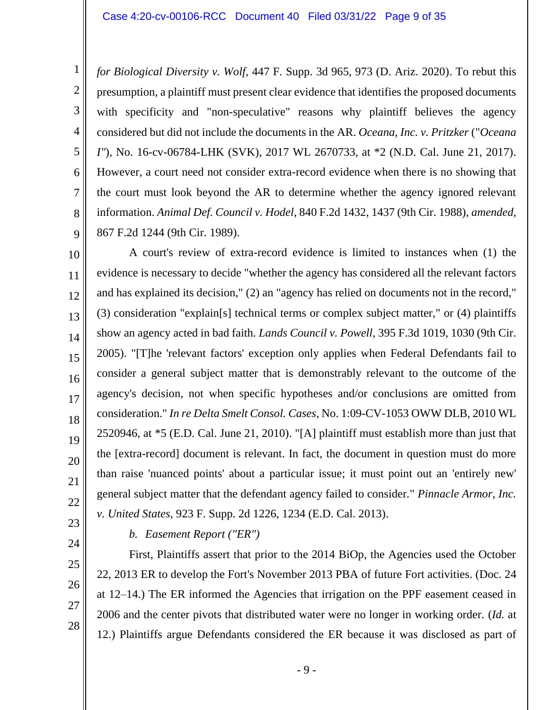*for Biological Diversity v. Wolf*, 447 F. Supp. 3d 965, 973 (D. Ariz. 2020). To rebut this presumption, a plaintiff must present clear evidence that identifies the proposed documents with specificity and "non-speculative" reasons why plaintiff believes the agency considered but did not include the documents in the AR. *Oceana, Inc. v. Pritzker* ("*Oceana I"*), No. 16-cv-06784-LHK (SVK), 2017 WL 2670733, at \*2 (N.D. Cal. June 21, 2017). However, a court need not consider extra-record evidence when there is no showing that the court must look beyond the AR to determine whether the agency ignored relevant information. *Animal Def. Council v. Hodel*, 840 F.2d 1432, 1437 (9th Cir. 1988), *amended*, 867 F.2d 1244 (9th Cir. 1989).

10 11 12 13 14 15 16 17 18 19 20 21 22 A court's review of extra-record evidence is limited to instances when (1) the evidence is necessary to decide "whether the agency has considered all the relevant factors and has explained its decision," (2) an "agency has relied on documents not in the record," (3) consideration "explain[s] technical terms or complex subject matter," or (4) plaintiffs show an agency acted in bad faith. *Lands Council v. Powell*, 395 F.3d 1019, 1030 (9th Cir. 2005). "[T]he 'relevant factors' exception only applies when Federal Defendants fail to consider a general subject matter that is demonstrably relevant to the outcome of the agency's decision, not when specific hypotheses and/or conclusions are omitted from consideration." *In re Delta Smelt Consol. Cases*, No. 1:09-CV-1053 OWW DLB, 2010 WL 2520946, at \*5 (E.D. Cal. June 21, 2010). "[A] plaintiff must establish more than just that the [extra-record] document is relevant. In fact, the document in question must do more than raise 'nuanced points' about a particular issue; it must point out an 'entirely new' general subject matter that the defendant agency failed to consider." *Pinnacle Armor, Inc. v. United States*, 923 F. Supp. 2d 1226, 1234 (E.D. Cal. 2013).

23 24

25

26

27

28

1

2

3

4

5

6

7

8

9

# *b. Easement Report ("ER")*

First, Plaintiffs assert that prior to the 2014 BiOp, the Agencies used the October 22, 2013 ER to develop the Fort's November 2013 PBA of future Fort activities. (Doc. 24 at 12–14.) The ER informed the Agencies that irrigation on the PPF easement ceased in 2006 and the center pivots that distributed water were no longer in working order. (*Id.* at 12.) Plaintiffs argue Defendants considered the ER because it was disclosed as part of

- 9 -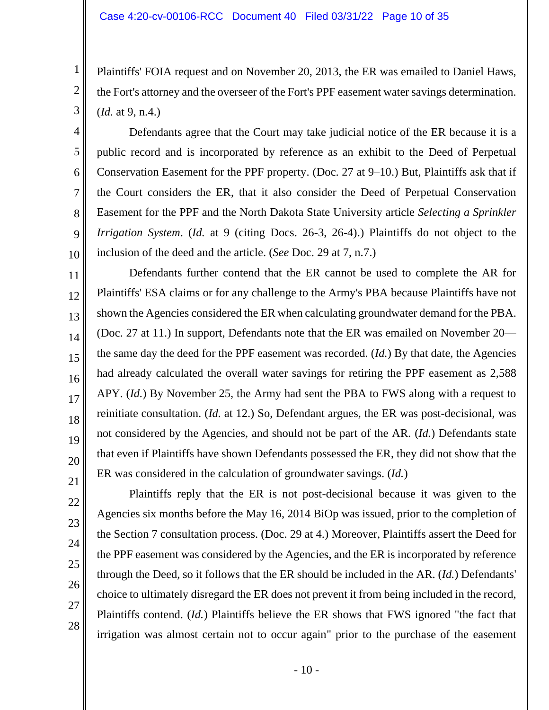Plaintiffs' FOIA request and on November 20, 2013, the ER was emailed to Daniel Haws, the Fort's attorney and the overseer of the Fort's PPF easement water savings determination. (*Id.* at 9, n.4.)

Defendants agree that the Court may take judicial notice of the ER because it is a public record and is incorporated by reference as an exhibit to the Deed of Perpetual Conservation Easement for the PPF property. (Doc. 27 at 9–10.) But, Plaintiffs ask that if the Court considers the ER, that it also consider the Deed of Perpetual Conservation Easement for the PPF and the North Dakota State University article *Selecting a Sprinkler Irrigation System*. (*Id.* at 9 (citing Docs. 26-3, 26-4).) Plaintiffs do not object to the inclusion of the deed and the article. (*See* Doc. 29 at 7, n.7.)

11 12 13 16 17 18 Defendants further contend that the ER cannot be used to complete the AR for Plaintiffs' ESA claims or for any challenge to the Army's PBA because Plaintiffs have not shown the Agencies considered the ER when calculating groundwater demand for the PBA. (Doc. 27 at 11.) In support, Defendants note that the ER was emailed on November 20 the same day the deed for the PPF easement was recorded. (*Id.*) By that date, the Agencies had already calculated the overall water savings for retiring the PPF easement as 2,588 APY. (*Id.*) By November 25, the Army had sent the PBA to FWS along with a request to reinitiate consultation. (*Id.* at 12.) So, Defendant argues, the ER was post-decisional, was not considered by the Agencies, and should not be part of the AR. (*Id.*) Defendants state that even if Plaintiffs have shown Defendants possessed the ER, they did not show that the ER was considered in the calculation of groundwater savings. (*Id.*)

28

1

2

3

4

5

6

7

8

9

10

14

15

Plaintiffs reply that the ER is not post-decisional because it was given to the Agencies six months before the May 16, 2014 BiOp was issued, prior to the completion of the Section 7 consultation process. (Doc. 29 at 4.) Moreover, Plaintiffs assert the Deed for the PPF easement was considered by the Agencies, and the ER is incorporated by reference through the Deed, so it follows that the ER should be included in the AR. (*Id.*) Defendants' choice to ultimately disregard the ER does not prevent it from being included in the record, Plaintiffs contend. (*Id.*) Plaintiffs believe the ER shows that FWS ignored "the fact that irrigation was almost certain not to occur again" prior to the purchase of the easement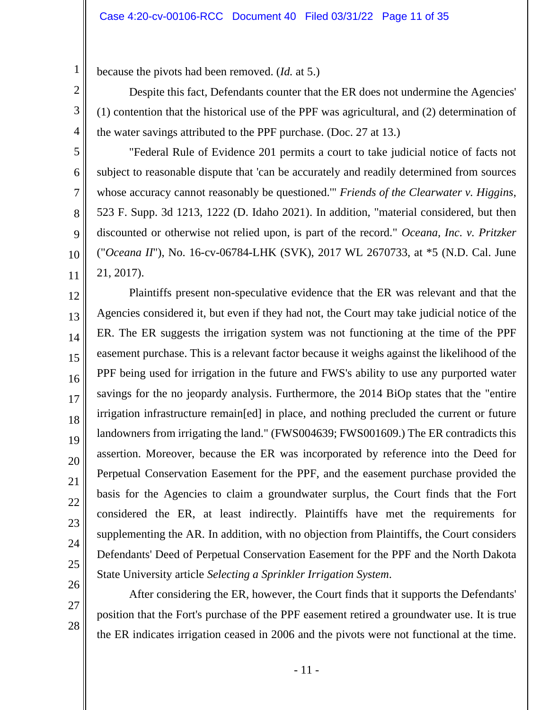because the pivots had been removed. (*Id.* at 5.)

Despite this fact, Defendants counter that the ER does not undermine the Agencies' (1) contention that the historical use of the PPF was agricultural, and (2) determination of the water savings attributed to the PPF purchase. (Doc. 27 at 13.)

"Federal Rule of Evidence 201 permits a court to take judicial notice of facts not subject to reasonable dispute that 'can be accurately and readily determined from sources whose accuracy cannot reasonably be questioned.'" *Friends of the Clearwater v. Higgins*, 523 F. Supp. 3d 1213, 1222 (D. Idaho 2021). In addition, "material considered, but then discounted or otherwise not relied upon, is part of the record." *Oceana, Inc. v. Pritzker*  ("*Oceana II*"), No. 16-cv-06784-LHK (SVK), 2017 WL 2670733, at \*5 (N.D. Cal. June 21, 2017).

12 13 14 15 16 17 18 19 20 21 22 23 24 25 Plaintiffs present non-speculative evidence that the ER was relevant and that the Agencies considered it, but even if they had not, the Court may take judicial notice of the ER. The ER suggests the irrigation system was not functioning at the time of the PPF easement purchase. This is a relevant factor because it weighs against the likelihood of the PPF being used for irrigation in the future and FWS's ability to use any purported water savings for the no jeopardy analysis. Furthermore, the 2014 BiOp states that the "entire irrigation infrastructure remain[ed] in place, and nothing precluded the current or future landowners from irrigating the land." (FWS004639; FWS001609.) The ER contradicts this assertion. Moreover, because the ER was incorporated by reference into the Deed for Perpetual Conservation Easement for the PPF, and the easement purchase provided the basis for the Agencies to claim a groundwater surplus, the Court finds that the Fort considered the ER, at least indirectly. Plaintiffs have met the requirements for supplementing the AR. In addition, with no objection from Plaintiffs, the Court considers Defendants' Deed of Perpetual Conservation Easement for the PPF and the North Dakota State University article *Selecting a Sprinkler Irrigation System*.

26 27

28

1

2

3

4

5

6

7

8

9

10

11

After considering the ER, however, the Court finds that it supports the Defendants' position that the Fort's purchase of the PPF easement retired a groundwater use. It is true the ER indicates irrigation ceased in 2006 and the pivots were not functional at the time.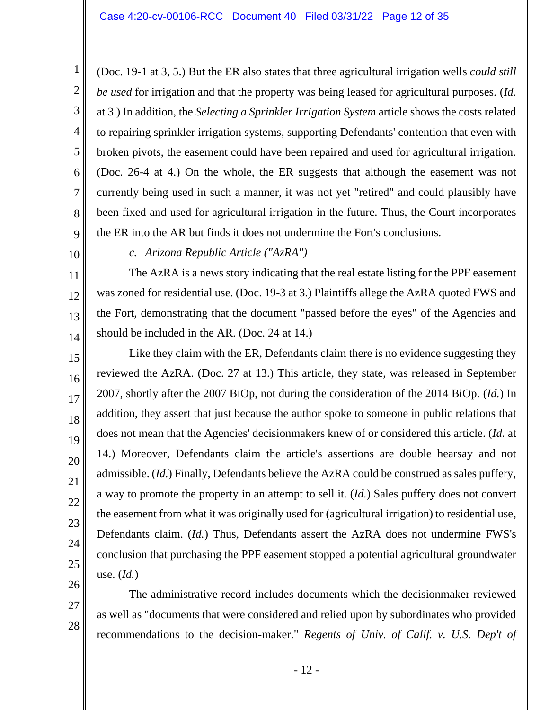(Doc. 19-1 at 3, 5.) But the ER also states that three agricultural irrigation wells *could still be used* for irrigation and that the property was being leased for agricultural purposes. (*Id.* at 3.) In addition, the *Selecting a Sprinkler Irrigation System* article shows the costs related to repairing sprinkler irrigation systems, supporting Defendants' contention that even with broken pivots, the easement could have been repaired and used for agricultural irrigation. (Doc. 26-4 at 4.) On the whole, the ER suggests that although the easement was not currently being used in such a manner, it was not yet "retired" and could plausibly have been fixed and used for agricultural irrigation in the future. Thus, the Court incorporates the ER into the AR but finds it does not undermine the Fort's conclusions.

10

11

12

13

14

15

16

17

18

19

20

21

22

23

24

25

1

2

3

4

5

6

7

8

9

### *c. Arizona Republic Article ("AzRA")*

The AzRA is a news story indicating that the real estate listing for the PPF easement was zoned for residential use. (Doc. 19-3 at 3.) Plaintiffs allege the AzRA quoted FWS and the Fort, demonstrating that the document "passed before the eyes" of the Agencies and should be included in the AR. (Doc. 24 at 14.)

Like they claim with the ER, Defendants claim there is no evidence suggesting they reviewed the AzRA. (Doc. 27 at 13.) This article, they state, was released in September 2007, shortly after the 2007 BiOp, not during the consideration of the 2014 BiOp. (*Id.*) In addition, they assert that just because the author spoke to someone in public relations that does not mean that the Agencies' decisionmakers knew of or considered this article. (*Id.* at 14.) Moreover, Defendants claim the article's assertions are double hearsay and not admissible. (*Id.*) Finally, Defendants believe the AzRA could be construed as sales puffery, a way to promote the property in an attempt to sell it. (*Id.*) Sales puffery does not convert the easement from what it was originally used for (agricultural irrigation) to residential use, Defendants claim. (*Id.*) Thus, Defendants assert the AzRA does not undermine FWS's conclusion that purchasing the PPF easement stopped a potential agricultural groundwater use. (*Id.*)

26 27

28

The administrative record includes documents which the decisionmaker reviewed as well as "documents that were considered and relied upon by subordinates who provided recommendations to the decision-maker." *Regents of Univ. of Calif. v. U.S. Dep't of*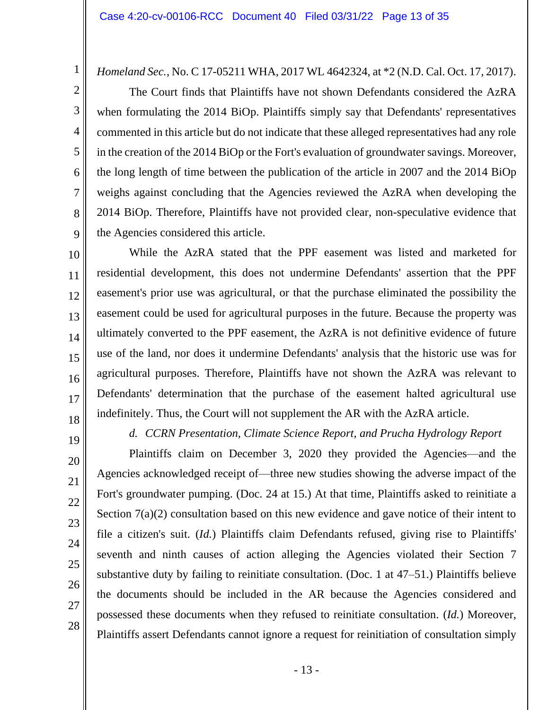*Homeland Sec.*, No. C 17-05211 WHA, 2017 WL 4642324, at \*2 (N.D. Cal. Oct. 17, 2017).

The Court finds that Plaintiffs have not shown Defendants considered the AzRA when formulating the 2014 BiOp. Plaintiffs simply say that Defendants' representatives commented in this article but do not indicate that these alleged representatives had any role in the creation of the 2014 BiOp or the Fort's evaluation of groundwater savings. Moreover, the long length of time between the publication of the article in 2007 and the 2014 BiOp weighs against concluding that the Agencies reviewed the AzRA when developing the 2014 BiOp. Therefore, Plaintiffs have not provided clear, non-speculative evidence that the Agencies considered this article.

10 11 12 13 14 15 16 17 18 While the AzRA stated that the PPF easement was listed and marketed for residential development, this does not undermine Defendants' assertion that the PPF easement's prior use was agricultural, or that the purchase eliminated the possibility the easement could be used for agricultural purposes in the future. Because the property was ultimately converted to the PPF easement, the AzRA is not definitive evidence of future use of the land, nor does it undermine Defendants' analysis that the historic use was for agricultural purposes. Therefore, Plaintiffs have not shown the AzRA was relevant to Defendants' determination that the purchase of the easement halted agricultural use indefinitely. Thus, the Court will not supplement the AR with the AzRA article.

19

20

21

22

23

24

25

26

27

28

1

2

3

4

5

6

7

8

9

*d. CCRN Presentation, Climate Science Report, and Prucha Hydrology Report*

Plaintiffs claim on December 3, 2020 they provided the Agencies—and the Agencies acknowledged receipt of—three new studies showing the adverse impact of the Fort's groundwater pumping. (Doc. 24 at 15.) At that time, Plaintiffs asked to reinitiate a Section 7(a)(2) consultation based on this new evidence and gave notice of their intent to file a citizen's suit. (*Id.*) Plaintiffs claim Defendants refused, giving rise to Plaintiffs' seventh and ninth causes of action alleging the Agencies violated their Section 7 substantive duty by failing to reinitiate consultation. (Doc. 1 at 47–51.) Plaintiffs believe the documents should be included in the AR because the Agencies considered and possessed these documents when they refused to reinitiate consultation. (*Id.*) Moreover, Plaintiffs assert Defendants cannot ignore a request for reinitiation of consultation simply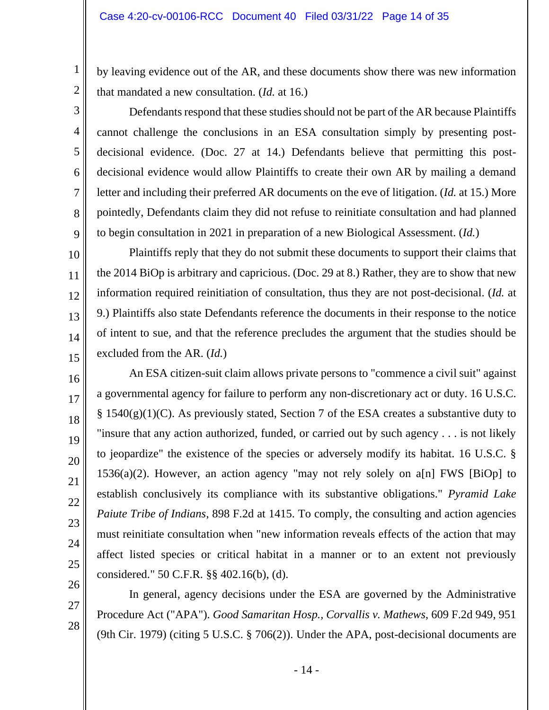1

2

3

4

5

6

7

8

9

10

11

12

13

14

15

16

17

18

19

20

21

22

23

24

25

26

27

28

by leaving evidence out of the AR, and these documents show there was new information that mandated a new consultation. (*Id.* at 16.)

Defendants respond that these studies should not be part of the AR because Plaintiffs cannot challenge the conclusions in an ESA consultation simply by presenting postdecisional evidence. (Doc. 27 at 14.) Defendants believe that permitting this postdecisional evidence would allow Plaintiffs to create their own AR by mailing a demand letter and including their preferred AR documents on the eve of litigation. (*Id.* at 15.) More pointedly, Defendants claim they did not refuse to reinitiate consultation and had planned to begin consultation in 2021 in preparation of a new Biological Assessment. (*Id.*)

Plaintiffs reply that they do not submit these documents to support their claims that the 2014 BiOp is arbitrary and capricious. (Doc. 29 at 8.) Rather, they are to show that new information required reinitiation of consultation, thus they are not post-decisional. (*Id.* at 9.) Plaintiffs also state Defendants reference the documents in their response to the notice of intent to sue, and that the reference precludes the argument that the studies should be excluded from the AR. (*Id.*)

An ESA citizen-suit claim allows private persons to "commence a civil suit" against a governmental agency for failure to perform any non-discretionary act or duty. 16 U.S.C.  $\S$  1540(g)(1)(C). As previously stated, Section 7 of the ESA creates a substantive duty to "insure that any action authorized, funded, or carried out by such agency . . . is not likely to jeopardize" the existence of the species or adversely modify its habitat. 16 U.S.C. §  $1536(a)(2)$ . However, an action agency "may not rely solely on a[n] FWS [BiOp] to establish conclusively its compliance with its substantive obligations." *Pyramid Lake Paiute Tribe of Indians*, 898 F.2d at 1415. To comply, the consulting and action agencies must reinitiate consultation when "new information reveals effects of the action that may affect listed species or critical habitat in a manner or to an extent not previously considered." 50 C.F.R. §§ 402.16(b), (d).

In general, agency decisions under the ESA are governed by the Administrative Procedure Act ("APA"). *Good Samaritan Hosp., Corvallis v. Mathews*, 609 F.2d 949, 951 (9th Cir. 1979) (citing 5 U.S.C. § 706(2)). Under the APA, post-decisional documents are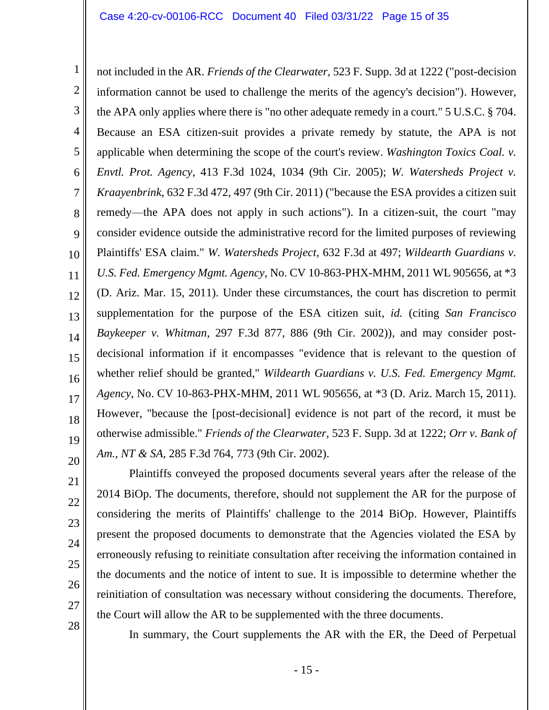1 2 3 4 5 6 7 8 9 10 11 12 13 14 15 16 17 18 19 20 not included in the AR. *Friends of the Clearwater*, 523 F. Supp. 3d at 1222 ("post-decision information cannot be used to challenge the merits of the agency's decision"). However, the APA only applies where there is "no other adequate remedy in a court." 5 U.S.C. § 704. Because an ESA citizen-suit provides a private remedy by statute, the APA is not applicable when determining the scope of the court's review. *Washington Toxics Coal. v. Envtl. Prot. Agency*, 413 F.3d 1024, 1034 (9th Cir. 2005); *W. Watersheds Project v. Kraayenbrink*, 632 F.3d 472, 497 (9th Cir. 2011) ("because the ESA provides a citizen suit remedy—the APA does not apply in such actions"). In a citizen-suit, the court "may consider evidence outside the administrative record for the limited purposes of reviewing Plaintiffs' ESA claim." *W. Watersheds Project*, 632 F.3d at 497; *Wildearth Guardians v. U.S. Fed. Emergency Mgmt. Agency*, No. CV 10-863-PHX-MHM, 2011 WL 905656, at \*3 (D. Ariz. Mar. 15, 2011). Under these circumstances, the court has discretion to permit supplementation for the purpose of the ESA citizen suit, *id.* (citing *San Francisco Baykeeper v. Whitman*, 297 F.3d 877, 886 (9th Cir. 2002)), and may consider postdecisional information if it encompasses "evidence that is relevant to the question of whether relief should be granted," *Wildearth Guardians v. U.S. Fed. Emergency Mgmt. Agency*, No. CV 10-863-PHX-MHM, 2011 WL 905656, at \*3 (D. Ariz. March 15, 2011). However, "because the [post-decisional] evidence is not part of the record, it must be otherwise admissible." *Friends of the Clearwater*, 523 F. Supp. 3d at 1222; *Orr v. Bank of Am., NT & SA*, 285 F.3d 764, 773 (9th Cir. 2002).

Plaintiffs conveyed the proposed documents several years after the release of the 2014 BiOp. The documents, therefore, should not supplement the AR for the purpose of considering the merits of Plaintiffs' challenge to the 2014 BiOp. However, Plaintiffs present the proposed documents to demonstrate that the Agencies violated the ESA by erroneously refusing to reinitiate consultation after receiving the information contained in the documents and the notice of intent to sue. It is impossible to determine whether the reinitiation of consultation was necessary without considering the documents. Therefore, the Court will allow the AR to be supplemented with the three documents.

28

In summary, the Court supplements the AR with the ER, the Deed of Perpetual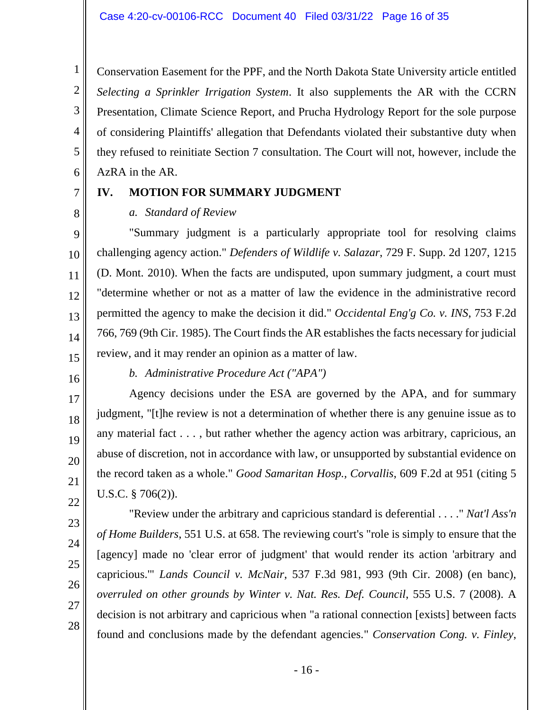Conservation Easement for the PPF, and the North Dakota State University article entitled *Selecting a Sprinkler Irrigation System*. It also supplements the AR with the CCRN Presentation, Climate Science Report, and Prucha Hydrology Report for the sole purpose of considering Plaintiffs' allegation that Defendants violated their substantive duty when they refused to reinitiate Section 7 consultation. The Court will not, however, include the AzRA in the AR.

7 8

1

2

3

4

5

6

# **IV. MOTION FOR SUMMARY JUDGMENT**

### *a. Standard of Review*

9 10 11 12 13 14 15 "Summary judgment is a particularly appropriate tool for resolving claims challenging agency action." *Defenders of Wildlife v. Salazar*, 729 F. Supp. 2d 1207, 1215 (D. Mont. 2010). When the facts are undisputed, upon summary judgment, a court must "determine whether or not as a matter of law the evidence in the administrative record permitted the agency to make the decision it did." *Occidental Eng'g Co. v. INS*, 753 F.2d 766, 769 (9th Cir. 1985). The Court finds the AR establishes the facts necessary for judicial review, and it may render an opinion as a matter of law.

16

17

18

19

20

21

22

*b. Administrative Procedure Act ("APA")*

Agency decisions under the ESA are governed by the APA, and for summary judgment, "[t]he review is not a determination of whether there is any genuine issue as to any material fact . . . , but rather whether the agency action was arbitrary, capricious, an abuse of discretion, not in accordance with law, or unsupported by substantial evidence on the record taken as a whole." *Good Samaritan Hosp., Corvallis*, 609 F.2d at 951 (citing 5 U.S.C. § 706(2)).

28

"Review under the arbitrary and capricious standard is deferential . . . ." *Nat'l Ass'n of Home Builders*, 551 U.S. at 658. The reviewing court's "role is simply to ensure that the [agency] made no 'clear error of judgment' that would render its action 'arbitrary and capricious.'" *Lands Council v. McNair*, 537 F.3d 981, 993 (9th Cir. 2008) (en banc), *overruled on other grounds by Winter v. Nat. Res. Def. Council*, 555 U.S. 7 (2008). A decision is not arbitrary and capricious when "a rational connection [exists] between facts found and conclusions made by the defendant agencies." *Conservation Cong. v. Finley*,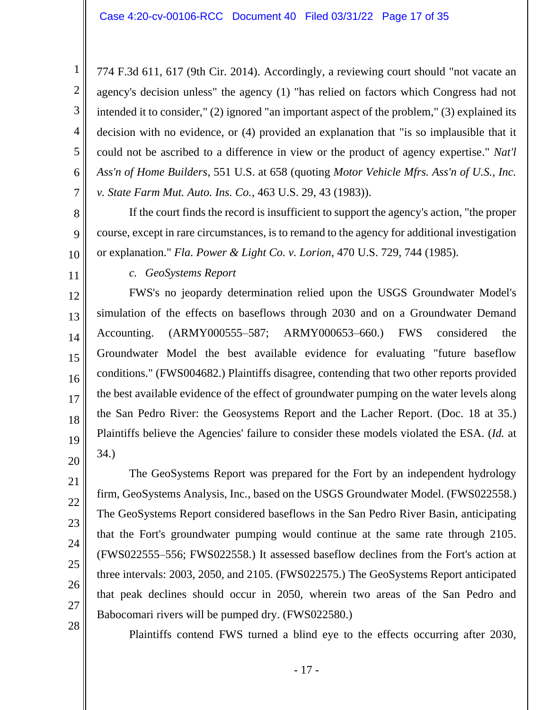774 F.3d 611, 617 (9th Cir. 2014). Accordingly, a reviewing court should "not vacate an agency's decision unless" the agency (1) "has relied on factors which Congress had not intended it to consider," (2) ignored "an important aspect of the problem," (3) explained its decision with no evidence, or (4) provided an explanation that "is so implausible that it could not be ascribed to a difference in view or the product of agency expertise." *Nat'l Ass'n of Home Builders*, 551 U.S. at 658 (quoting *Motor Vehicle Mfrs. Ass'n of U.S., Inc. v. State Farm Mut. Auto. Ins. Co.*, 463 U.S. 29, 43 (1983)).

If the court finds the record is insufficient to support the agency's action, "the proper course, except in rare circumstances, is to remand to the agency for additional investigation or explanation." *Fla. Power & Light Co. v. Lorion*, 470 U.S. 729, 744 (1985).

*c. GeoSystems Report*

1

2

3

4

5

6

7

8

9

10

11

12

13

14

15

16

17

18

19

20

21

22

23

24

25

26

27

28

FWS's no jeopardy determination relied upon the USGS Groundwater Model's simulation of the effects on baseflows through 2030 and on a Groundwater Demand Accounting. (ARMY000555–587; ARMY000653–660.) FWS considered the Groundwater Model the best available evidence for evaluating "future baseflow conditions." (FWS004682.) Plaintiffs disagree, contending that two other reports provided the best available evidence of the effect of groundwater pumping on the water levels along the San Pedro River: the Geosystems Report and the Lacher Report. (Doc. 18 at 35.) Plaintiffs believe the Agencies' failure to consider these models violated the ESA. (*Id.* at 34.)

The GeoSystems Report was prepared for the Fort by an independent hydrology firm, GeoSystems Analysis, Inc., based on the USGS Groundwater Model. (FWS022558.) The GeoSystems Report considered baseflows in the San Pedro River Basin, anticipating that the Fort's groundwater pumping would continue at the same rate through 2105. (FWS022555–556; FWS022558.) It assessed baseflow declines from the Fort's action at three intervals: 2003, 2050, and 2105. (FWS022575.) The GeoSystems Report anticipated that peak declines should occur in 2050, wherein two areas of the San Pedro and Babocomari rivers will be pumped dry. (FWS022580.)

Plaintiffs contend FWS turned a blind eye to the effects occurring after 2030,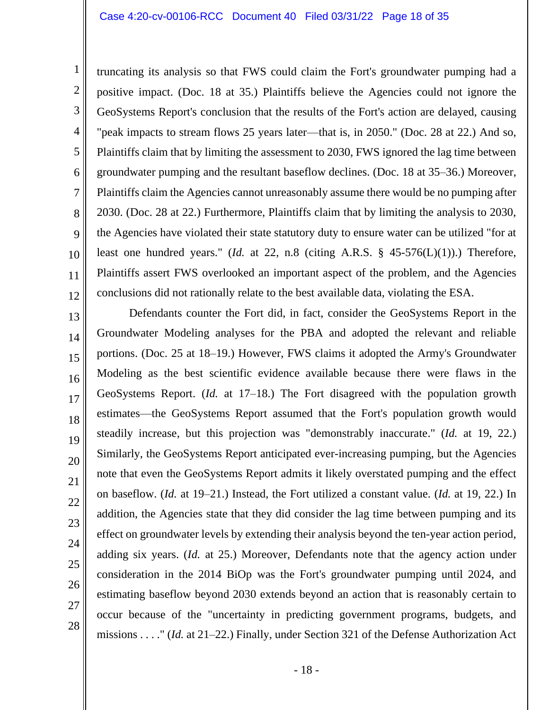1

2

3

4

5

6

7

8

9

10

11

12

truncating its analysis so that FWS could claim the Fort's groundwater pumping had a positive impact. (Doc. 18 at 35.) Plaintiffs believe the Agencies could not ignore the GeoSystems Report's conclusion that the results of the Fort's action are delayed, causing "peak impacts to stream flows 25 years later—that is, in 2050." (Doc. 28 at 22.) And so, Plaintiffs claim that by limiting the assessment to 2030, FWS ignored the lag time between groundwater pumping and the resultant baseflow declines. (Doc. 18 at 35–36.) Moreover, Plaintiffs claim the Agencies cannot unreasonably assume there would be no pumping after 2030. (Doc. 28 at 22.) Furthermore, Plaintiffs claim that by limiting the analysis to 2030, the Agencies have violated their state statutory duty to ensure water can be utilized "for at least one hundred years." (*Id.* at 22, n.8 (citing A.R.S.  $\S$  45-576(L)(1)).) Therefore, Plaintiffs assert FWS overlooked an important aspect of the problem, and the Agencies conclusions did not rationally relate to the best available data, violating the ESA.

13 14 15 16 17 18 19 20 21 22 23 24 25 26 27 28 Defendants counter the Fort did, in fact, consider the GeoSystems Report in the Groundwater Modeling analyses for the PBA and adopted the relevant and reliable portions. (Doc. 25 at 18–19.) However, FWS claims it adopted the Army's Groundwater Modeling as the best scientific evidence available because there were flaws in the GeoSystems Report. (*Id.* at 17–18.) The Fort disagreed with the population growth estimates—the GeoSystems Report assumed that the Fort's population growth would steadily increase, but this projection was "demonstrably inaccurate." (*Id.* at 19, 22.) Similarly, the GeoSystems Report anticipated ever-increasing pumping, but the Agencies note that even the GeoSystems Report admits it likely overstated pumping and the effect on baseflow. (*Id.* at 19–21.) Instead, the Fort utilized a constant value. (*Id.* at 19, 22.) In addition, the Agencies state that they did consider the lag time between pumping and its effect on groundwater levels by extending their analysis beyond the ten-year action period, adding six years. (*Id.* at 25.) Moreover, Defendants note that the agency action under consideration in the 2014 BiOp was the Fort's groundwater pumping until 2024, and estimating baseflow beyond 2030 extends beyond an action that is reasonably certain to occur because of the "uncertainty in predicting government programs, budgets, and missions . . . ." (*Id.* at 21–22.) Finally, under Section 321 of the Defense Authorization Act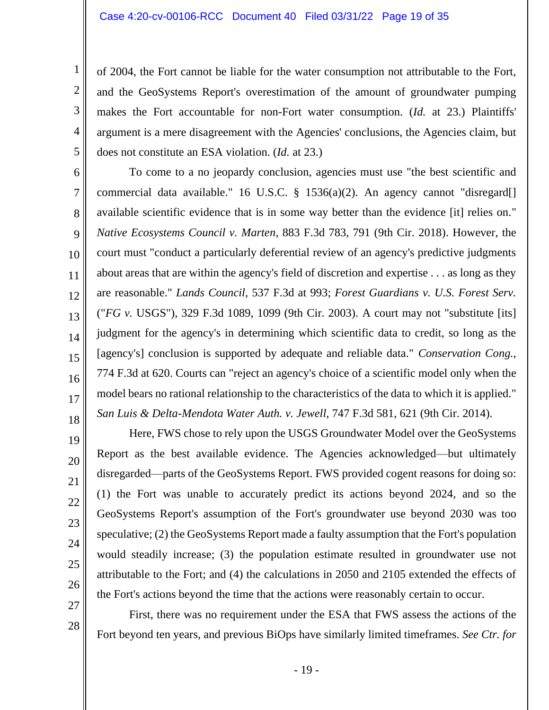1

2

3

4

5

19

20

21

22

23

24

25

26

27

28

of 2004, the Fort cannot be liable for the water consumption not attributable to the Fort, and the GeoSystems Report's overestimation of the amount of groundwater pumping makes the Fort accountable for non-Fort water consumption. (*Id.* at 23.) Plaintiffs' argument is a mere disagreement with the Agencies' conclusions, the Agencies claim, but does not constitute an ESA violation. (*Id.* at 23.)

6 7 8 9 10 11 12 13 14 15 16 17 18 To come to a no jeopardy conclusion, agencies must use "the best scientific and commercial data available." 16 U.S.C. § 1536(a)(2). An agency cannot "disregard[] available scientific evidence that is in some way better than the evidence [it] relies on." *Native Ecosystems Council v. Marten*, 883 F.3d 783, 791 (9th Cir. 2018). However, the court must "conduct a particularly deferential review of an agency's predictive judgments about areas that are within the agency's field of discretion and expertise . . . as long as they are reasonable." *Lands Council*, 537 F.3d at 993; *Forest Guardians v. U.S. Forest Serv.* ("*FG v.* USGS"), 329 F.3d 1089, 1099 (9th Cir. 2003). A court may not "substitute [its] judgment for the agency's in determining which scientific data to credit, so long as the [agency's] conclusion is supported by adequate and reliable data." *Conservation Cong.*, 774 F.3d at 620. Courts can "reject an agency's choice of a scientific model only when the model bears no rational relationship to the characteristics of the data to which it is applied." *San Luis & Delta-Mendota Water Auth. v. Jewell*, 747 F.3d 581, 621 (9th Cir. 2014).

Here, FWS chose to rely upon the USGS Groundwater Model over the GeoSystems Report as the best available evidence. The Agencies acknowledged—but ultimately disregarded—parts of the GeoSystems Report. FWS provided cogent reasons for doing so: (1) the Fort was unable to accurately predict its actions beyond 2024, and so the GeoSystems Report's assumption of the Fort's groundwater use beyond 2030 was too speculative; (2) the GeoSystems Report made a faulty assumption that the Fort's population would steadily increase; (3) the population estimate resulted in groundwater use not attributable to the Fort; and (4) the calculations in 2050 and 2105 extended the effects of the Fort's actions beyond the time that the actions were reasonably certain to occur.

First, there was no requirement under the ESA that FWS assess the actions of the Fort beyond ten years, and previous BiOps have similarly limited timeframes. *See Ctr. for*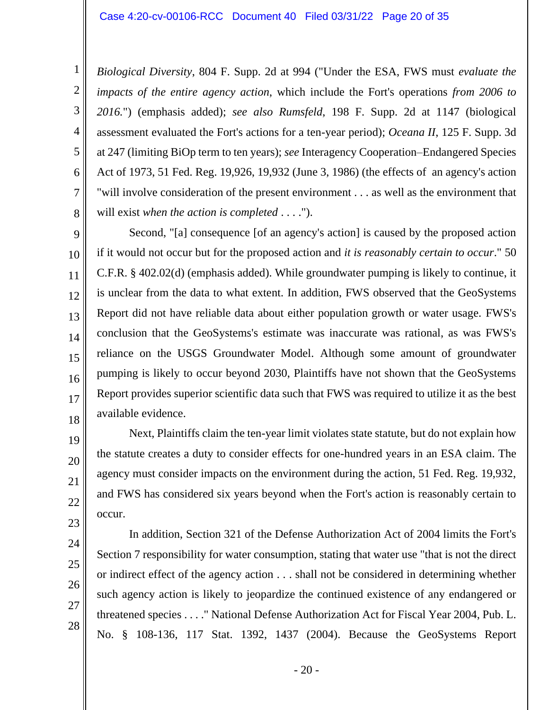*Biological Diversity*, 804 F. Supp. 2d at 994 ("Under the ESA, FWS must *evaluate the impacts of the entire agency action*, which include the Fort's operations *from 2006 to 2016.*") (emphasis added); *see also Rumsfeld*, 198 F. Supp. 2d at 1147 (biological assessment evaluated the Fort's actions for a ten-year period); *Oceana II*, 125 F. Supp. 3d at 247 (limiting BiOp term to ten years); *see* Interagency Cooperation–Endangered Species Act of 1973, 51 Fed. Reg. 19,926, 19,932 (June 3, 1986) (the effects of an agency's action "will involve consideration of the present environment . . . as well as the environment that will exist *when the action is completed* . . . .").

9 10 11 12 13 14 15 16 17 18 Second, "[a] consequence [of an agency's action] is caused by the proposed action if it would not occur but for the proposed action and *it is reasonably certain to occur*." 50 C.F.R. § 402.02(d) (emphasis added). While groundwater pumping is likely to continue, it is unclear from the data to what extent. In addition, FWS observed that the GeoSystems Report did not have reliable data about either population growth or water usage. FWS's conclusion that the GeoSystems's estimate was inaccurate was rational, as was FWS's reliance on the USGS Groundwater Model. Although some amount of groundwater pumping is likely to occur beyond 2030, Plaintiffs have not shown that the GeoSystems Report provides superior scientific data such that FWS was required to utilize it as the best available evidence.

Next, Plaintiffs claim the ten-year limit violates state statute, but do not explain how the statute creates a duty to consider effects for one-hundred years in an ESA claim. The agency must consider impacts on the environment during the action, 51 Fed. Reg. 19,932, and FWS has considered six years beyond when the Fort's action is reasonably certain to occur.

24 25 26

19

20

21

22

23

1

2

3

4

5

6

7

8

27

28

In addition, Section 321 of the Defense Authorization Act of 2004 limits the Fort's Section 7 responsibility for water consumption, stating that water use "that is not the direct or indirect effect of the agency action . . . shall not be considered in determining whether such agency action is likely to jeopardize the continued existence of any endangered or threatened species . . . ." National Defense Authorization Act for Fiscal Year 2004, Pub. L. No. § 108-136, 117 Stat. 1392, 1437 (2004). Because the GeoSystems Report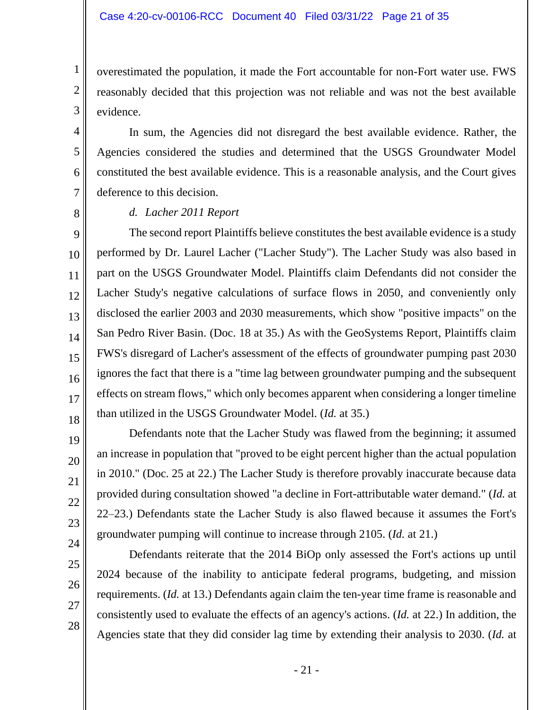overestimated the population, it made the Fort accountable for non-Fort water use. FWS reasonably decided that this projection was not reliable and was not the best available evidence.

In sum, the Agencies did not disregard the best available evidence. Rather, the Agencies considered the studies and determined that the USGS Groundwater Model constituted the best available evidence. This is a reasonable analysis, and the Court gives deference to this decision.

8

1

2

3

4

5

6

7

### *d. Lacher 2011 Report*

9 10 11 12 13 14 15 The second report Plaintiffs believe constitutes the best available evidence is a study performed by Dr. Laurel Lacher ("Lacher Study"). The Lacher Study was also based in part on the USGS Groundwater Model. Plaintiffs claim Defendants did not consider the Lacher Study's negative calculations of surface flows in 2050, and conveniently only disclosed the earlier 2003 and 2030 measurements, which show "positive impacts" on the San Pedro River Basin. (Doc. 18 at 35.) As with the GeoSystems Report, Plaintiffs claim FWS's disregard of Lacher's assessment of the effects of groundwater pumping past 2030 ignores the fact that there is a "time lag between groundwater pumping and the subsequent effects on stream flows," which only becomes apparent when considering a longer timeline than utilized in the USGS Groundwater Model. (*Id.* at 35.)

Defendants note that the Lacher Study was flawed from the beginning; it assumed an increase in population that "proved to be eight percent higher than the actual population in 2010." (Doc. 25 at 22.) The Lacher Study is therefore provably inaccurate because data provided during consultation showed "a decline in Fort-attributable water demand." (*Id.* at 22–23.) Defendants state the Lacher Study is also flawed because it assumes the Fort's groundwater pumping will continue to increase through 2105. (*Id.* at 21.)

Defendants reiterate that the 2014 BiOp only assessed the Fort's actions up until 2024 because of the inability to anticipate federal programs, budgeting, and mission requirements. (*Id.* at 13.) Defendants again claim the ten-year time frame is reasonable and consistently used to evaluate the effects of an agency's actions. (*Id.* at 22.) In addition, the Agencies state that they did consider lag time by extending their analysis to 2030. (*Id.* at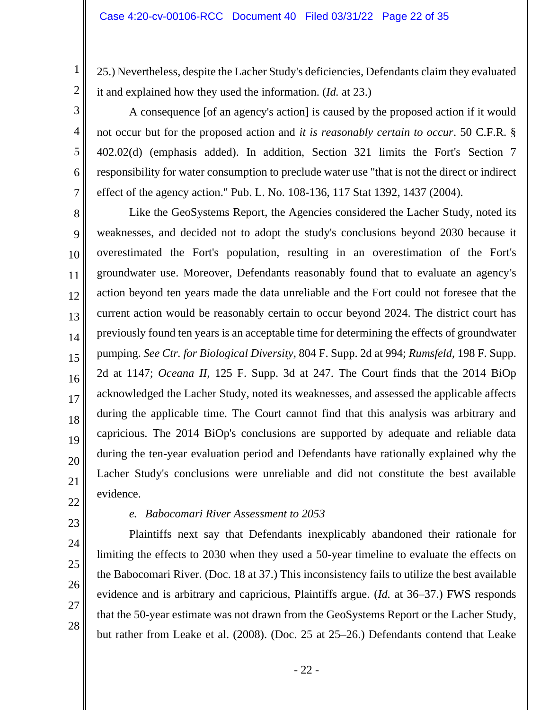25.) Nevertheless, despite the Lacher Study's deficiencies, Defendants claim they evaluated it and explained how they used the information. (*Id.* at 23.)

A consequence [of an agency's action] is caused by the proposed action if it would not occur but for the proposed action and *it is reasonably certain to occur*. 50 C.F.R. § 402.02(d) (emphasis added). In addition, Section 321 limits the Fort's Section 7 responsibility for water consumption to preclude water use "that is not the direct or indirect effect of the agency action." Pub. L. No. 108-136, 117 Stat 1392, 1437 (2004).

Like the GeoSystems Report, the Agencies considered the Lacher Study, noted its weaknesses, and decided not to adopt the study's conclusions beyond 2030 because it overestimated the Fort's population, resulting in an overestimation of the Fort's groundwater use. Moreover, Defendants reasonably found that to evaluate an agency's action beyond ten years made the data unreliable and the Fort could not foresee that the current action would be reasonably certain to occur beyond 2024. The district court has previously found ten years is an acceptable time for determining the effects of groundwater pumping. *See Ctr. for Biological Diversity*, 804 F. Supp. 2d at 994; *Rumsfeld*, 198 F. Supp. 2d at 1147; *Oceana II*, 125 F. Supp. 3d at 247. The Court finds that the 2014 BiOp acknowledged the Lacher Study, noted its weaknesses, and assessed the applicable affects during the applicable time. The Court cannot find that this analysis was arbitrary and capricious. The 2014 BiOp's conclusions are supported by adequate and reliable data during the ten-year evaluation period and Defendants have rationally explained why the Lacher Study's conclusions were unreliable and did not constitute the best available evidence.

22 23

1

2

3

4

5

6

7

8

9

10

11

12

13

14

15

16

17

18

19

20

21

### *e. Babocomari River Assessment to 2053*

Plaintiffs next say that Defendants inexplicably abandoned their rationale for limiting the effects to 2030 when they used a 50-year timeline to evaluate the effects on the Babocomari River. (Doc. 18 at 37.) This inconsistency fails to utilize the best available evidence and is arbitrary and capricious, Plaintiffs argue. (*Id.* at 36–37.) FWS responds that the 50-year estimate was not drawn from the GeoSystems Report or the Lacher Study, but rather from Leake et al. (2008). (Doc. 25 at 25–26.) Defendants contend that Leake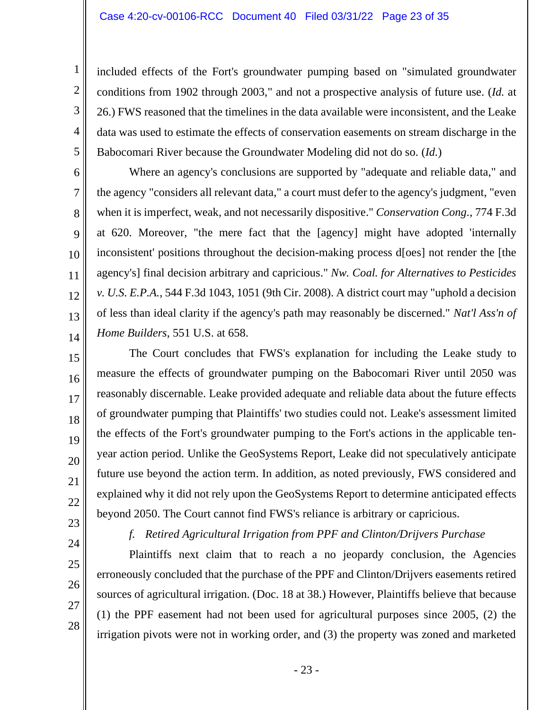included effects of the Fort's groundwater pumping based on "simulated groundwater conditions from 1902 through 2003," and not a prospective analysis of future use. (*Id.* at 26.) FWS reasoned that the timelines in the data available were inconsistent, and the Leake data was used to estimate the effects of conservation easements on stream discharge in the Babocomari River because the Groundwater Modeling did not do so. (*Id.*)

Where an agency's conclusions are supported by "adequate and reliable data," and the agency "considers all relevant data," a court must defer to the agency's judgment, "even when it is imperfect, weak, and not necessarily dispositive." *Conservation Cong.*, 774 F.3d at 620. Moreover, "the mere fact that the [agency] might have adopted 'internally inconsistent' positions throughout the decision-making process d[oes] not render the [the agency's] final decision arbitrary and capricious." *Nw. Coal. for Alternatives to Pesticides v. U.S. E.P.A.*, 544 F.3d 1043, 1051 (9th Cir. 2008). A district court may "uphold a decision of less than ideal clarity if the agency's path may reasonably be discerned." *Nat'l Ass'n of Home Builders*, 551 U.S. at 658.

The Court concludes that FWS's explanation for including the Leake study to measure the effects of groundwater pumping on the Babocomari River until 2050 was reasonably discernable. Leake provided adequate and reliable data about the future effects of groundwater pumping that Plaintiffs' two studies could not. Leake's assessment limited the effects of the Fort's groundwater pumping to the Fort's actions in the applicable tenyear action period. Unlike the GeoSystems Report, Leake did not speculatively anticipate future use beyond the action term. In addition, as noted previously, FWS considered and explained why it did not rely upon the GeoSystems Report to determine anticipated effects beyond 2050. The Court cannot find FWS's reliance is arbitrary or capricious.

23 24

25

26

27

28

1

2

3

4

5

6

7

8

9

10

11

12

13

14

15

16

17

18

19

20

21

22

*f. Retired Agricultural Irrigation from PPF and Clinton/Drijvers Purchase*

Plaintiffs next claim that to reach a no jeopardy conclusion, the Agencies erroneously concluded that the purchase of the PPF and Clinton/Drijvers easements retired sources of agricultural irrigation. (Doc. 18 at 38.) However, Plaintiffs believe that because (1) the PPF easement had not been used for agricultural purposes since 2005, (2) the irrigation pivots were not in working order, and (3) the property was zoned and marketed

- 23 -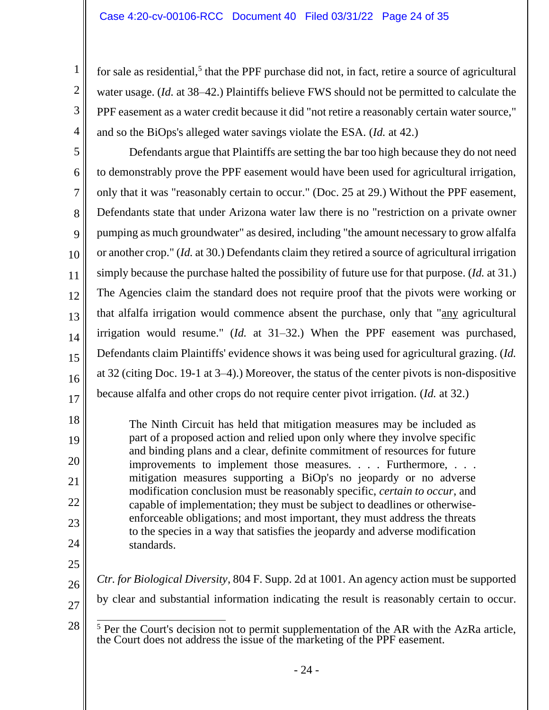for sale as residential,<sup>5</sup> that the PPF purchase did not, in fact, retire a source of agricultural water usage. (*Id.* at 38–42.) Plaintiffs believe FWS should not be permitted to calculate the PPF easement as a water credit because it did "not retire a reasonably certain water source," and so the BiOps's alleged water savings violate the ESA. (*Id.* at 42.)

5 6 7 8 9 10 11 12 13 14 15 16 17 Defendants argue that Plaintiffs are setting the bar too high because they do not need to demonstrably prove the PPF easement would have been used for agricultural irrigation, only that it was "reasonably certain to occur." (Doc. 25 at 29.) Without the PPF easement, Defendants state that under Arizona water law there is no "restriction on a private owner pumping as much groundwater" as desired, including "the amount necessary to grow alfalfa or another crop." (*Id.* at 30.) Defendants claim they retired a source of agricultural irrigation simply because the purchase halted the possibility of future use for that purpose. (*Id.* at 31.) The Agencies claim the standard does not require proof that the pivots were working or that alfalfa irrigation would commence absent the purchase, only that "any agricultural irrigation would resume." (*Id.* at 31–32.) When the PPF easement was purchased, Defendants claim Plaintiffs' evidence shows it was being used for agricultural grazing. (*Id.* at 32 (citing Doc. 19-1 at 3–4).) Moreover, the status of the center pivots is non-dispositive because alfalfa and other crops do not require center pivot irrigation. (*Id.* at 32.)

The Ninth Circuit has held that mitigation measures may be included as part of a proposed action and relied upon only where they involve specific and binding plans and a clear, definite commitment of resources for future improvements to implement those measures*. . . .* Furthermore, . . . mitigation measures supporting a BiOp's no jeopardy or no adverse modification conclusion must be reasonably specific, *certain to occur*, and capable of implementation; they must be subject to deadlines or otherwiseenforceable obligations; and most important, they must address the threats to the species in a way that satisfies the jeopardy and adverse modification standards.

24 25

18

19

20

21

22

23

1

2

3

4

- 
- 26 27

28

 $5$  Per the Court's decision not to permit supplementation of the AR with the AzRa article,

*Ctr. for Biological Diversity*, 804 F. Supp. 2d at 1001. An agency action must be supported

by clear and substantial information indicating the result is reasonably certain to occur.

the Court does not address the issue of the marketing of the PPF easement.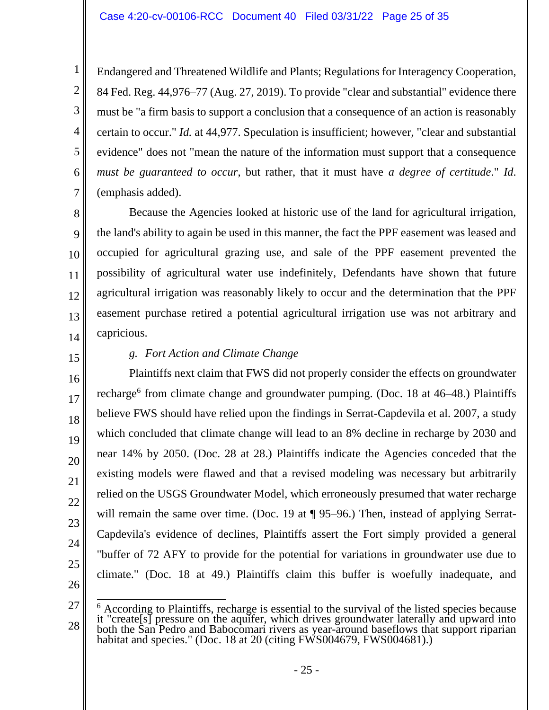Endangered and Threatened Wildlife and Plants; Regulations for Interagency Cooperation, 84 Fed. Reg. 44,976–77 (Aug. 27, 2019). To provide "clear and substantial" evidence there must be "a firm basis to support a conclusion that a consequence of an action is reasonably certain to occur." *Id.* at 44,977. Speculation is insufficient; however, "clear and substantial evidence" does not "mean the nature of the information must support that a consequence *must be guaranteed to occur*, but rather, that it must have *a degree of certitude*." *Id*. (emphasis added).

Because the Agencies looked at historic use of the land for agricultural irrigation, the land's ability to again be used in this manner, the fact the PPF easement was leased and occupied for agricultural grazing use, and sale of the PPF easement prevented the possibility of agricultural water use indefinitely, Defendants have shown that future agricultural irrigation was reasonably likely to occur and the determination that the PPF easement purchase retired a potential agricultural irrigation use was not arbitrary and capricious.

14 15

16

17

18

19

20

21

22

23

24

25

1

2

3

4

5

6

7

8

9

10

11

12

13

# *g. Fort Action and Climate Change*

Plaintiffs next claim that FWS did not properly consider the effects on groundwater recharge<sup>6</sup> from climate change and groundwater pumping. (Doc. 18 at 46–48.) Plaintiffs believe FWS should have relied upon the findings in Serrat-Capdevila et al. 2007, a study which concluded that climate change will lead to an 8% decline in recharge by 2030 and near 14% by 2050. (Doc. 28 at 28.) Plaintiffs indicate the Agencies conceded that the existing models were flawed and that a revised modeling was necessary but arbitrarily relied on the USGS Groundwater Model, which erroneously presumed that water recharge will remain the same over time. (Doc. 19 at ¶ 95–96.) Then, instead of applying Serrat-Capdevila's evidence of declines, Plaintiffs assert the Fort simply provided a general "buffer of 72 AFY to provide for the potential for variations in groundwater use due to climate." (Doc. 18 at 49.) Plaintiffs claim this buffer is woefully inadequate, and

<sup>27</sup> 28  $6$  According to Plaintiffs, recharge is essential to the survival of the listed species because it "create[s] pressure on the aquifer, which drives groundwater laterally and upward into both the San Pedro and Babocomari rivers as year-around baseflows that support riparian habitat and species." (Doc. 18 at 20 (citing FWS004679, FWS004681).)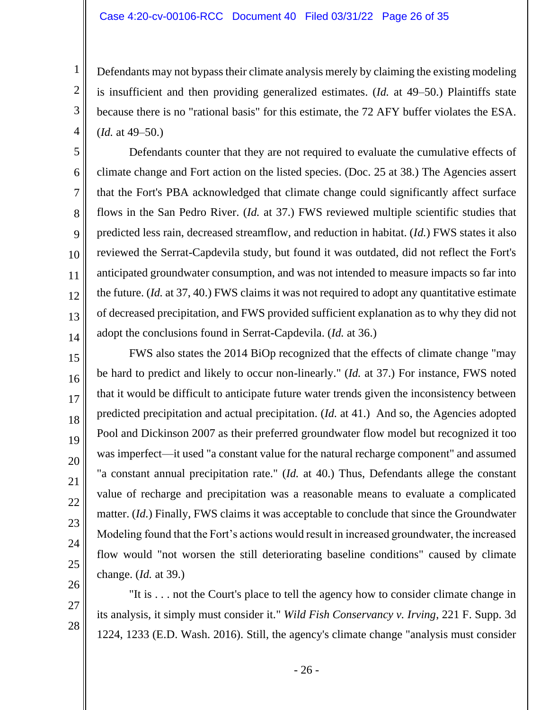#### Case 4:20-cv-00106-RCC Document 40 Filed 03/31/22 Page 26 of 35

1

2

3

4

5

6

7

8

9

10

11

12

13

14

15

16

17

18

19

20

21

22

23

24

25

26

27

28

Defendants may not bypass their climate analysis merely by claiming the existing modeling is insufficient and then providing generalized estimates. (*Id.* at 49–50.) Plaintiffs state because there is no "rational basis" for this estimate, the 72 AFY buffer violates the ESA. (*Id.* at 49–50.)

Defendants counter that they are not required to evaluate the cumulative effects of climate change and Fort action on the listed species. (Doc. 25 at 38.) The Agencies assert that the Fort's PBA acknowledged that climate change could significantly affect surface flows in the San Pedro River. (*Id.* at 37.) FWS reviewed multiple scientific studies that predicted less rain, decreased streamflow, and reduction in habitat. (*Id.*) FWS states it also reviewed the Serrat-Capdevila study, but found it was outdated, did not reflect the Fort's anticipated groundwater consumption, and was not intended to measure impacts so far into the future. (*Id.* at 37, 40.) FWS claims it was not required to adopt any quantitative estimate of decreased precipitation, and FWS provided sufficient explanation as to why they did not adopt the conclusions found in Serrat-Capdevila. (*Id.* at 36.)

FWS also states the 2014 BiOp recognized that the effects of climate change "may be hard to predict and likely to occur non-linearly." (*Id.* at 37.) For instance, FWS noted that it would be difficult to anticipate future water trends given the inconsistency between predicted precipitation and actual precipitation. (*Id.* at 41.) And so, the Agencies adopted Pool and Dickinson 2007 as their preferred groundwater flow model but recognized it too was imperfect—it used "a constant value for the natural recharge component" and assumed "a constant annual precipitation rate." (*Id.* at 40.) Thus, Defendants allege the constant value of recharge and precipitation was a reasonable means to evaluate a complicated matter. (*Id.*) Finally, FWS claims it was acceptable to conclude that since the Groundwater Modeling found that the Fort's actions would result in increased groundwater, the increased flow would "not worsen the still deteriorating baseline conditions" caused by climate change. (*Id.* at 39.)

"It is . . . not the Court's place to tell the agency how to consider climate change in its analysis, it simply must consider it." *Wild Fish Conservancy v. Irving*, 221 F. Supp. 3d 1224, 1233 (E.D. Wash. 2016). Still, the agency's climate change "analysis must consider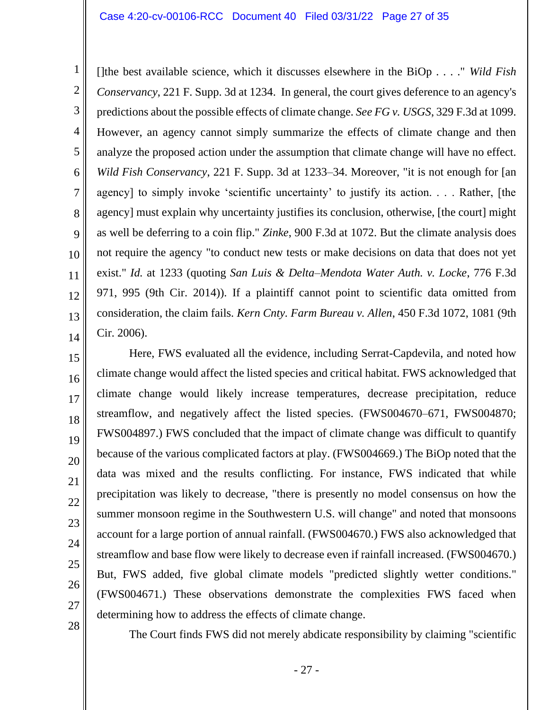#### Case 4:20-cv-00106-RCC Document 40 Filed 03/31/22 Page 27 of 35

[]the best available science, which it discusses elsewhere in the BiOp . . . ." *Wild Fish Conservancy*, 221 F. Supp. 3d at 1234. In general, the court gives deference to an agency's predictions about the possible effects of climate change. *See FG v. USGS*, 329 F.3d at 1099. However, an agency cannot simply summarize the effects of climate change and then analyze the proposed action under the assumption that climate change will have no effect. *Wild Fish Conservancy*, 221 F. Supp. 3d at 1233–34. Moreover, "it is not enough for [an agency] to simply invoke 'scientific uncertainty' to justify its action. . . . Rather, [the agency] must explain why uncertainty justifies its conclusion, otherwise, [the court] might as well be deferring to a coin flip." *Zinke*, 900 F.3d at 1072. But the climate analysis does not require the agency "to conduct new tests or make decisions on data that does not yet exist." *Id.* at 1233 (quoting *San Luis & Delta–Mendota Water Auth. v. Locke*, 776 F.3d 971, 995 (9th Cir. 2014)). If a plaintiff cannot point to scientific data omitted from consideration, the claim fails. *Kern Cnty. Farm Bureau v. Allen*, 450 F.3d 1072, 1081 (9th Cir. 2006).

Here, FWS evaluated all the evidence, including Serrat-Capdevila, and noted how climate change would affect the listed species and critical habitat. FWS acknowledged that climate change would likely increase temperatures, decrease precipitation, reduce streamflow, and negatively affect the listed species. (FWS004670–671, FWS004870; FWS004897.) FWS concluded that the impact of climate change was difficult to quantify because of the various complicated factors at play. (FWS004669.) The BiOp noted that the data was mixed and the results conflicting. For instance, FWS indicated that while precipitation was likely to decrease, "there is presently no model consensus on how the summer monsoon regime in the Southwestern U.S. will change" and noted that monsoons account for a large portion of annual rainfall. (FWS004670.) FWS also acknowledged that streamflow and base flow were likely to decrease even if rainfall increased. (FWS004670.) But, FWS added, five global climate models "predicted slightly wetter conditions." (FWS004671.) These observations demonstrate the complexities FWS faced when determining how to address the effects of climate change.

28

1

2

3

4

5

6

7

8

9

10

11

12

13

14

15

16

17

18

19

20

21

22

23

24

25

26

27

The Court finds FWS did not merely abdicate responsibility by claiming "scientific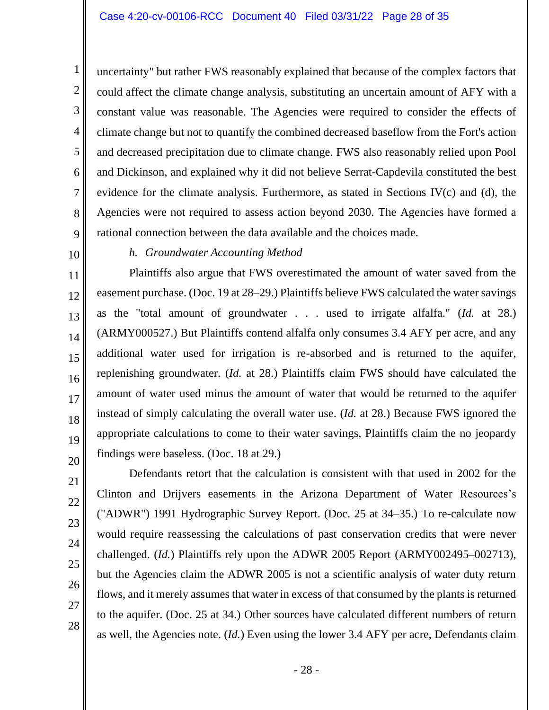uncertainty" but rather FWS reasonably explained that because of the complex factors that could affect the climate change analysis, substituting an uncertain amount of AFY with a constant value was reasonable. The Agencies were required to consider the effects of climate change but not to quantify the combined decreased baseflow from the Fort's action and decreased precipitation due to climate change. FWS also reasonably relied upon Pool and Dickinson, and explained why it did not believe Serrat-Capdevila constituted the best evidence for the climate analysis. Furthermore, as stated in Sections IV(c) and (d), the Agencies were not required to assess action beyond 2030. The Agencies have formed a rational connection between the data available and the choices made.

9 10

11

12

13

14

15

16

17

18

19

20

1

2

3

4

5

6

7

8

#### *h. Groundwater Accounting Method*

Plaintiffs also argue that FWS overestimated the amount of water saved from the easement purchase. (Doc. 19 at 28–29.) Plaintiffs believe FWS calculated the water savings as the "total amount of groundwater . . . used to irrigate alfalfa." (*Id.* at 28.) (ARMY000527.) But Plaintiffs contend alfalfa only consumes 3.4 AFY per acre, and any additional water used for irrigation is re-absorbed and is returned to the aquifer, replenishing groundwater. (*Id.* at 28.) Plaintiffs claim FWS should have calculated the amount of water used minus the amount of water that would be returned to the aquifer instead of simply calculating the overall water use. (*Id.* at 28.) Because FWS ignored the appropriate calculations to come to their water savings, Plaintiffs claim the no jeopardy findings were baseless. (Doc. 18 at 29.)

Defendants retort that the calculation is consistent with that used in 2002 for the Clinton and Drijvers easements in the Arizona Department of Water Resources's ("ADWR") 1991 Hydrographic Survey Report. (Doc. 25 at 34–35.) To re-calculate now would require reassessing the calculations of past conservation credits that were never challenged. (*Id.*) Plaintiffs rely upon the ADWR 2005 Report (ARMY002495–002713), but the Agencies claim the ADWR 2005 is not a scientific analysis of water duty return flows, and it merely assumes that water in excess of that consumed by the plants is returned to the aquifer. (Doc. 25 at 34.) Other sources have calculated different numbers of return as well, the Agencies note. (*Id.*) Even using the lower 3.4 AFY per acre, Defendants claim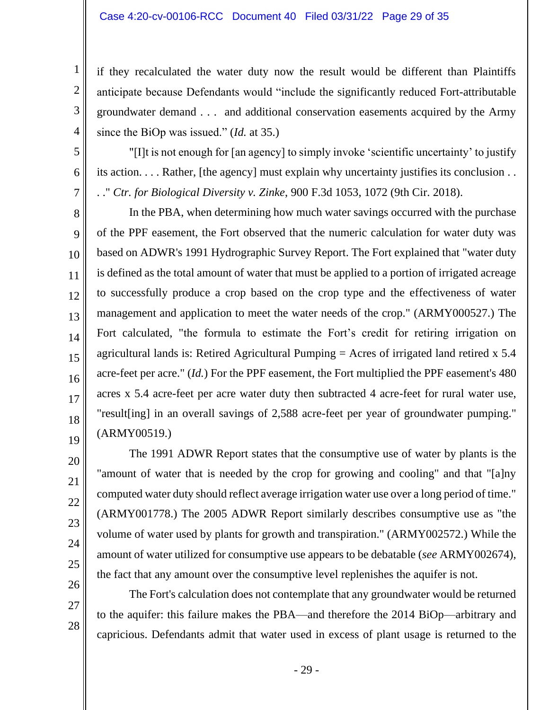#### Case 4:20-cv-00106-RCC Document 40 Filed 03/31/22 Page 29 of 35

1

2

3

4

5

6

7

8

9

10

11

12

13

14

15

16

17

18

19

20

21

22

23

24

25

26

27

28

if they recalculated the water duty now the result would be different than Plaintiffs anticipate because Defendants would "include the significantly reduced Fort-attributable groundwater demand . . . and additional conservation easements acquired by the Army since the BiOp was issued." (*Id.* at 35.)

"[I]t is not enough for [an agency] to simply invoke 'scientific uncertainty' to justify its action. . . . Rather, [the agency] must explain why uncertainty justifies its conclusion . . . ." *Ctr. for Biological Diversity v. Zinke*, 900 F.3d 1053, 1072 (9th Cir. 2018).

In the PBA, when determining how much water savings occurred with the purchase of the PPF easement, the Fort observed that the numeric calculation for water duty was based on ADWR's 1991 Hydrographic Survey Report. The Fort explained that "water duty is defined as the total amount of water that must be applied to a portion of irrigated acreage to successfully produce a crop based on the crop type and the effectiveness of water management and application to meet the water needs of the crop." (ARMY000527.) The Fort calculated, "the formula to estimate the Fort's credit for retiring irrigation on agricultural lands is: Retired Agricultural Pumping = Acres of irrigated land retired x 5.4 acre-feet per acre." (*Id.*) For the PPF easement, the Fort multiplied the PPF easement's 480 acres x 5.4 acre-feet per acre water duty then subtracted 4 acre-feet for rural water use, "result[ing] in an overall savings of 2,588 acre-feet per year of groundwater pumping." (ARMY00519.)

The 1991 ADWR Report states that the consumptive use of water by plants is the "amount of water that is needed by the crop for growing and cooling" and that "[a]ny computed water duty should reflect average irrigation water use over a long period of time." (ARMY001778.) The 2005 ADWR Report similarly describes consumptive use as "the volume of water used by plants for growth and transpiration." (ARMY002572.) While the amount of water utilized for consumptive use appears to be debatable (*see* ARMY002674), the fact that any amount over the consumptive level replenishes the aquifer is not.

The Fort's calculation does not contemplate that any groundwater would be returned to the aquifer: this failure makes the PBA—and therefore the 2014 BiOp—arbitrary and capricious. Defendants admit that water used in excess of plant usage is returned to the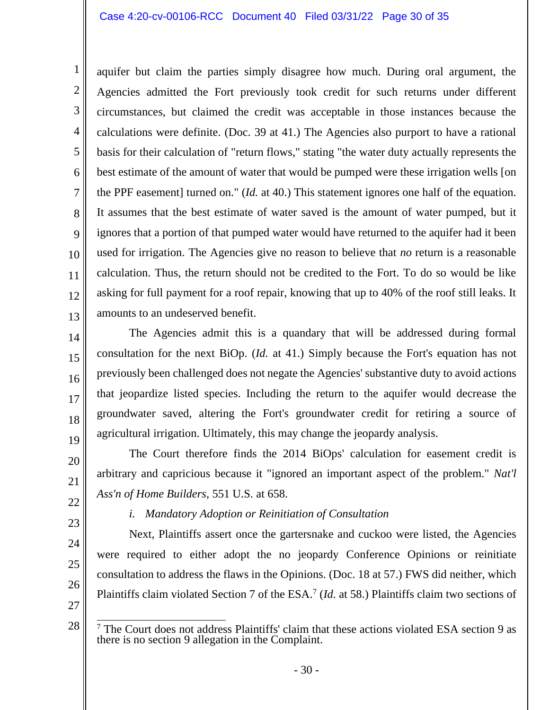#### Case 4:20-cv-00106-RCC Document 40 Filed 03/31/22 Page 30 of 35

aquifer but claim the parties simply disagree how much. During oral argument, the Agencies admitted the Fort previously took credit for such returns under different circumstances, but claimed the credit was acceptable in those instances because the calculations were definite. (Doc. 39 at 41.) The Agencies also purport to have a rational basis for their calculation of "return flows," stating "the water duty actually represents the best estimate of the amount of water that would be pumped were these irrigation wells [on the PPF easement] turned on." (*Id.* at 40.) This statement ignores one half of the equation. It assumes that the best estimate of water saved is the amount of water pumped, but it ignores that a portion of that pumped water would have returned to the aquifer had it been used for irrigation. The Agencies give no reason to believe that *no* return is a reasonable calculation. Thus, the return should not be credited to the Fort. To do so would be like asking for full payment for a roof repair, knowing that up to 40% of the roof still leaks. It amounts to an undeserved benefit.

The Agencies admit this is a quandary that will be addressed during formal consultation for the next BiOp. (*Id.* at 41.) Simply because the Fort's equation has not previously been challenged does not negate the Agencies' substantive duty to avoid actions that jeopardize listed species. Including the return to the aquifer would decrease the groundwater saved, altering the Fort's groundwater credit for retiring a source of agricultural irrigation. Ultimately, this may change the jeopardy analysis.

The Court therefore finds the 2014 BiOps' calculation for easement credit is arbitrary and capricious because it "ignored an important aspect of the problem." *Nat'l Ass'n of Home Builders*, 551 U.S. at 658.

22 23

24

25

1

2

3

4

5

6

7

8

9

10

11

12

13

14

15

16

17

18

19

20

21

# *i. Mandatory Adoption or Reinitiation of Consultation*

Next, Plaintiffs assert once the gartersnake and cuckoo were listed, the Agencies were required to either adopt the no jeopardy Conference Opinions or reinitiate consultation to address the flaws in the Opinions. (Doc. 18 at 57.) FWS did neither, which Plaintiffs claim violated Section 7 of the ESA. 7 (*Id.* at 58.) Plaintiffs claim two sections of

27

28

<sup>7</sup> The Court does not address Plaintiffs' claim that these actions violated ESA section 9 as there is no section 9 allegation in the Complaint.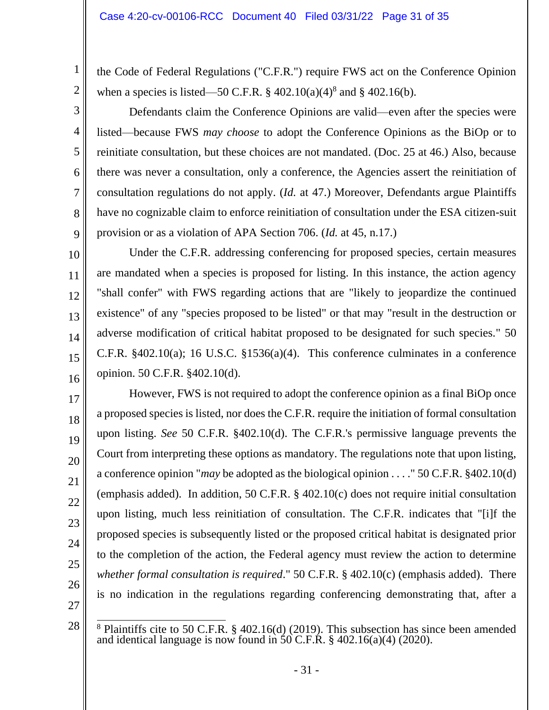the Code of Federal Regulations ("C.F.R.") require FWS act on the Conference Opinion when a species is listed—50 C.F.R.  $\S 402.10(a)(4)^8$  and  $\S 402.16(b)$ .

Defendants claim the Conference Opinions are valid—even after the species were listed—because FWS *may choose* to adopt the Conference Opinions as the BiOp or to reinitiate consultation, but these choices are not mandated. (Doc. 25 at 46.) Also, because there was never a consultation, only a conference, the Agencies assert the reinitiation of consultation regulations do not apply. (*Id.* at 47.) Moreover, Defendants argue Plaintiffs have no cognizable claim to enforce reinitiation of consultation under the ESA citizen-suit provision or as a violation of APA Section 706. (*Id.* at 45, n.17.)

Under the C.F.R. addressing conferencing for proposed species, certain measures are mandated when a species is proposed for listing. In this instance, the action agency "shall confer" with FWS regarding actions that are "likely to jeopardize the continued existence" of any "species proposed to be listed" or that may "result in the destruction or adverse modification of critical habitat proposed to be designated for such species." 50 C.F.R.  $§402.10(a)$ ; 16 U.S.C.  $§1536(a)(4)$ . This conference culminates in a conference opinion. 50 C.F.R. §402.10(d).

However, FWS is not required to adopt the conference opinion as a final BiOp once a proposed species is listed, nor does the C.F.R. require the initiation of formal consultation upon listing. *See* 50 C.F.R. §402.10(d). The C.F.R.'s permissive language prevents the Court from interpreting these options as mandatory. The regulations note that upon listing, a conference opinion "*may* be adopted as the biological opinion . . . ." 50 C.F.R. §402.10(d) (emphasis added). In addition, 50 C.F.R. § 402.10(c) does not require initial consultation upon listing, much less reinitiation of consultation. The C.F.R. indicates that "[i]f the proposed species is subsequently listed or the proposed critical habitat is designated prior to the completion of the action, the Federal agency must review the action to determine *whether formal consultation is required*." 50 C.F.R. § 402.10(c) (emphasis added). There is no indication in the regulations regarding conferencing demonstrating that, after a

27

1

2

3

4

5

6

7

8

9

10

11

12

13

14

15

16

17

18

19

20

21

22

23

24

25

<sup>28</sup>  $8$  Plaintiffs cite to 50 C.F.R.  $\S$  402.16(d) (2019). This subsection has since been amended and identical language is now found in  $50$  C.F.R. § 402.16(a)(4) (2020).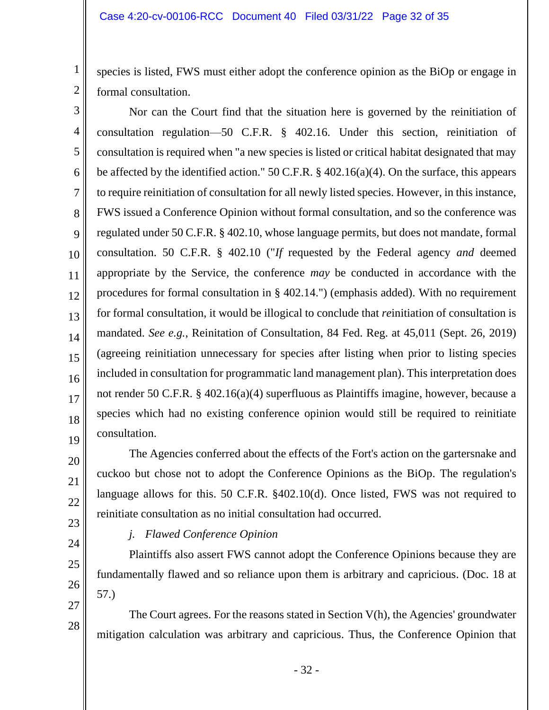species is listed, FWS must either adopt the conference opinion as the BiOp or engage in formal consultation.

3 4 5 6 7 8 9 10 11 12 13 14 15 16 17 18 19 Nor can the Court find that the situation here is governed by the reinitiation of consultation regulation—50 C.F.R. § 402.16. Under this section, reinitiation of consultation is required when "a new species is listed or critical habitat designated that may be affected by the identified action." 50 C.F.R. § 402.16(a)(4). On the surface, this appears to require reinitiation of consultation for all newly listed species. However, in this instance, FWS issued a Conference Opinion without formal consultation, and so the conference was regulated under 50 C.F.R. § 402.10, whose language permits, but does not mandate, formal consultation. 50 C.F.R. § 402.10 ("*If* requested by the Federal agency *and* deemed appropriate by the Service, the conference *may* be conducted in accordance with the procedures for formal consultation in § 402.14.") (emphasis added). With no requirement for formal consultation, it would be illogical to conclude that *re*initiation of consultation is mandated. *See e.g.*, Reinitation of Consultation, 84 Fed. Reg. at 45,011 (Sept. 26, 2019) (agreeing reinitiation unnecessary for species after listing when prior to listing species included in consultation for programmatic land management plan). This interpretation does not render 50 C.F.R. § 402.16(a)(4) superfluous as Plaintiffs imagine, however, because a species which had no existing conference opinion would still be required to reinitiate consultation.

The Agencies conferred about the effects of the Fort's action on the gartersnake and cuckoo but chose not to adopt the Conference Opinions as the BiOp. The regulation's language allows for this. 50 C.F.R. §402.10(d). Once listed, FWS was not required to reinitiate consultation as no initial consultation had occurred.

23 24

20

21

22

25

26

27

28

1

2

*j. Flawed Conference Opinion*

Plaintiffs also assert FWS cannot adopt the Conference Opinions because they are fundamentally flawed and so reliance upon them is arbitrary and capricious. (Doc. 18 at 57.)

The Court agrees. For the reasons stated in Section V(h), the Agencies' groundwater mitigation calculation was arbitrary and capricious. Thus, the Conference Opinion that

- 32 -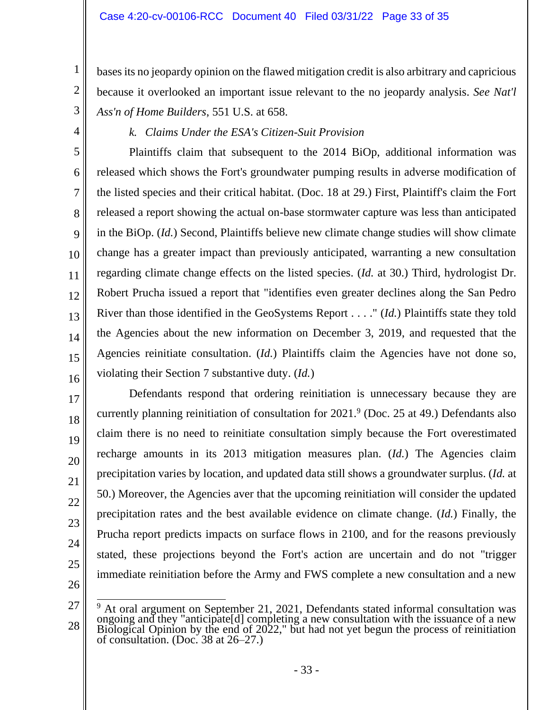bases its no jeopardy opinion on the flawed mitigation credit is also arbitrary and capricious because it overlooked an important issue relevant to the no jeopardy analysis. *See Nat'l Ass'n of Home Builders*, 551 U.S. at 658.

4

5

6

7

8

9

10

11

12

13

14

15

16

17

18

19

20

21

22

23

24

25

3

1

2

*k. Claims Under the ESA's Citizen-Suit Provision*

Plaintiffs claim that subsequent to the 2014 BiOp, additional information was released which shows the Fort's groundwater pumping results in adverse modification of the listed species and their critical habitat. (Doc. 18 at 29.) First, Plaintiff's claim the Fort released a report showing the actual on-base stormwater capture was less than anticipated in the BiOp. (*Id.*) Second, Plaintiffs believe new climate change studies will show climate change has a greater impact than previously anticipated, warranting a new consultation regarding climate change effects on the listed species. (*Id.* at 30.) Third, hydrologist Dr. Robert Prucha issued a report that "identifies even greater declines along the San Pedro River than those identified in the GeoSystems Report . . . ." (*Id.*) Plaintiffs state they told the Agencies about the new information on December 3, 2019, and requested that the Agencies reinitiate consultation. (*Id.*) Plaintiffs claim the Agencies have not done so, violating their Section 7 substantive duty. (*Id.*)

Defendants respond that ordering reinitiation is unnecessary because they are currently planning reinitiation of consultation for 2021.<sup>9</sup> (Doc. 25 at 49.) Defendants also claim there is no need to reinitiate consultation simply because the Fort overestimated recharge amounts in its 2013 mitigation measures plan. (*Id.*) The Agencies claim precipitation varies by location, and updated data still shows a groundwater surplus. (*Id.* at 50.) Moreover, the Agencies aver that the upcoming reinitiation will consider the updated precipitation rates and the best available evidence on climate change. (*Id.*) Finally, the Prucha report predicts impacts on surface flows in 2100, and for the reasons previously stated, these projections beyond the Fort's action are uncertain and do not "trigger immediate reinitiation before the Army and FWS complete a new consultation and a new

<sup>28</sup>  $9$  At oral argument on September 21, 2021, Defendants stated informal consultation was ongoing and they "anticipate[d] completing a new consultation with the issuance of a new Biological Opinion by the end of 2022," but had not yet begun the process of reinitiation of consultation. (Doc. 38 at 26–27.)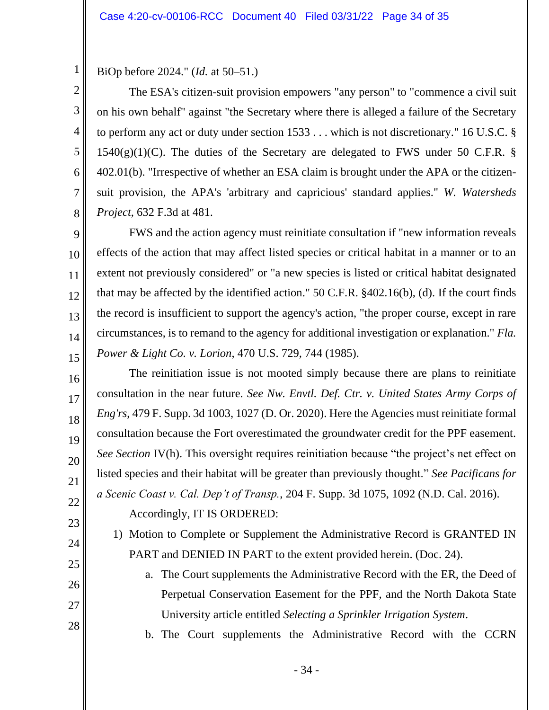BiOp before 2024." (*Id.* at 50–51.)

1

2

3

4

5

6

7

8

9

14

15

16

17

18

19

20

21

22

23

24

25

26

27

28

The ESA's citizen-suit provision empowers "any person" to "commence a civil suit on his own behalf" against "the Secretary where there is alleged a failure of the Secretary to perform any act or duty under section 1533 . . . which is not discretionary." 16 U.S.C. §  $1540(g)(1)(C)$ . The duties of the Secretary are delegated to FWS under 50 C.F.R. § 402.01(b). "Irrespective of whether an ESA claim is brought under the APA or the citizensuit provision, the APA's 'arbitrary and capricious' standard applies." *W. Watersheds Project*, 632 F.3d at 481.

10 11 12 13 FWS and the action agency must reinitiate consultation if "new information reveals effects of the action that may affect listed species or critical habitat in a manner or to an extent not previously considered" or "a new species is listed or critical habitat designated that may be affected by the identified action." 50 C.F.R. §402.16(b), (d). If the court finds the record is insufficient to support the agency's action, "the proper course, except in rare circumstances, is to remand to the agency for additional investigation or explanation." *Fla. Power & Light Co. v. Lorion*, 470 U.S. 729, 744 (1985).

The reinitiation issue is not mooted simply because there are plans to reinitiate consultation in the near future. *See Nw. Envtl. Def. Ctr. v. United States Army Corps of Eng'rs*, 479 F. Supp. 3d 1003, 1027 (D. Or. 2020). Here the Agencies must reinitiate formal consultation because the Fort overestimated the groundwater credit for the PPF easement. *See Section IV(h). This oversight requires reinitiation because "the project's net effect on* listed species and their habitat will be greater than previously thought." *See Pacificans for a Scenic Coast v. Cal. Dep't of Transp.*, 204 F. Supp. 3d 1075, 1092 (N.D. Cal. 2016).

Accordingly, IT IS ORDERED:

- 1) Motion to Complete or Supplement the Administrative Record is GRANTED IN PART and DENIED IN PART to the extent provided herein. (Doc. 24).
	- a. The Court supplements the Administrative Record with the ER, the Deed of Perpetual Conservation Easement for the PPF, and the North Dakota State University article entitled *Selecting a Sprinkler Irrigation System*.
	- b. The Court supplements the Administrative Record with the CCRN